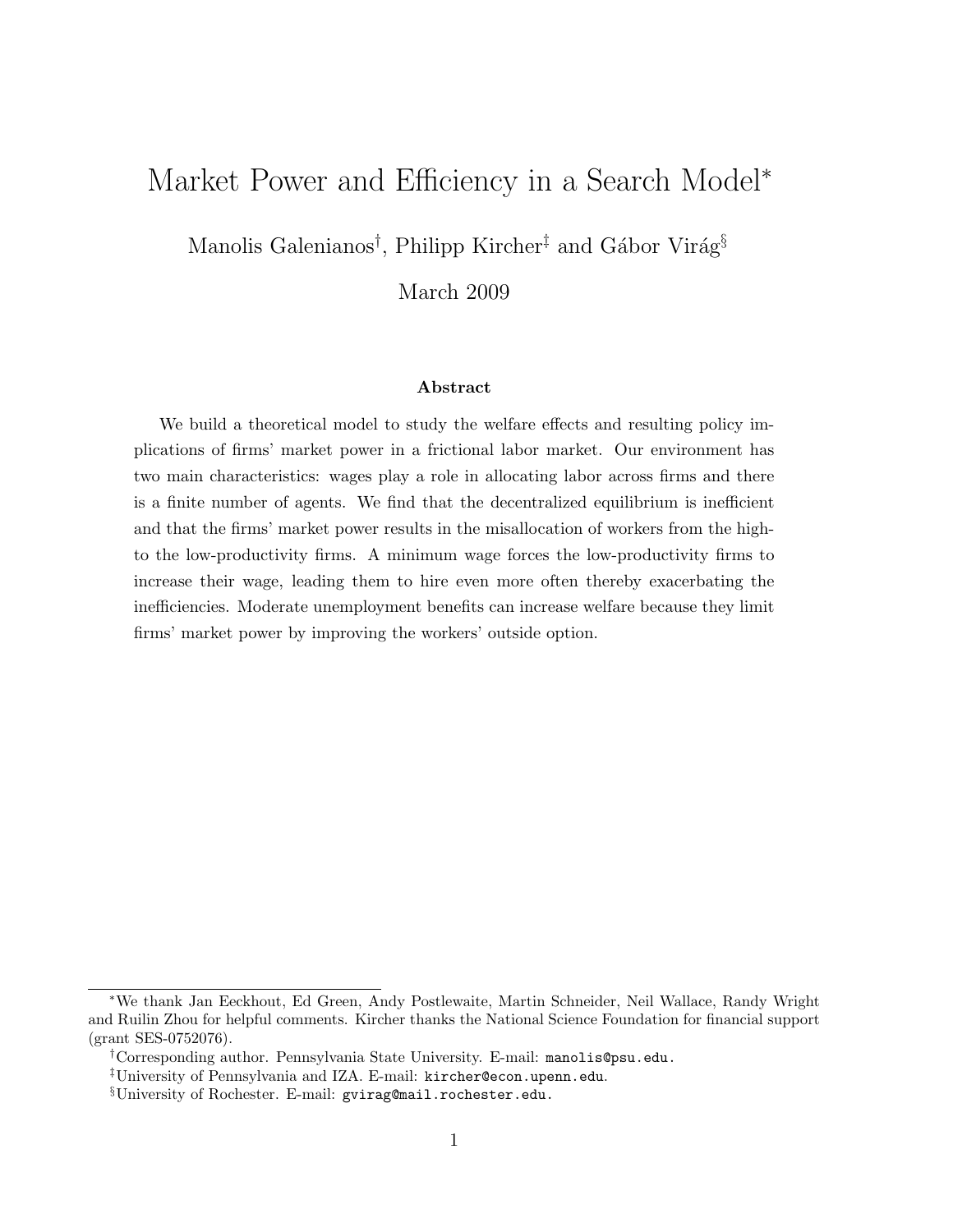# Market Power and Efficiency in a Search Model<sup>∗</sup>

Manolis Galenianos<sup>†</sup>, Philipp Kircher<sup>‡</sup> and Gábor Virág<sup>§</sup>

March 2009

#### Abstract

We build a theoretical model to study the welfare effects and resulting policy implications of firms' market power in a frictional labor market. Our environment has two main characteristics: wages play a role in allocating labor across firms and there is a finite number of agents. We find that the decentralized equilibrium is inefficient and that the firms' market power results in the misallocation of workers from the highto the low-productivity firms. A minimum wage forces the low-productivity firms to increase their wage, leading them to hire even more often thereby exacerbating the inefficiencies. Moderate unemployment benefits can increase welfare because they limit firms' market power by improving the workers' outside option.

<sup>∗</sup>We thank Jan Eeckhout, Ed Green, Andy Postlewaite, Martin Schneider, Neil Wallace, Randy Wright and Ruilin Zhou for helpful comments. Kircher thanks the National Science Foundation for financial support (grant SES-0752076).

<sup>†</sup>Corresponding author. Pennsylvania State University. E-mail: manolis@psu.edu.

<sup>‡</sup>University of Pennsylvania and IZA. E-mail: kircher@econ.upenn.edu.

<sup>§</sup>University of Rochester. E-mail: gvirag@mail.rochester.edu.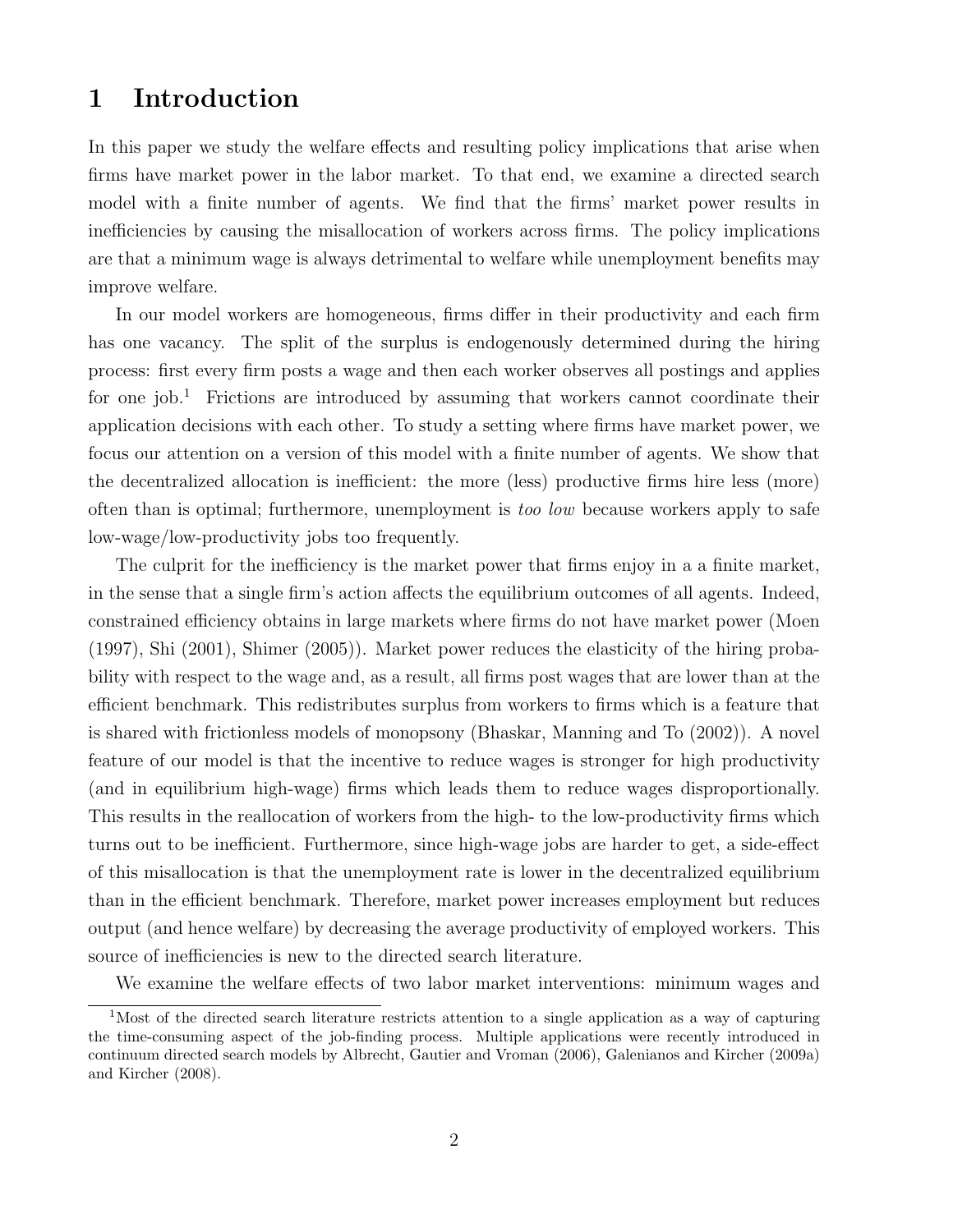# 1 Introduction

In this paper we study the welfare effects and resulting policy implications that arise when firms have market power in the labor market. To that end, we examine a directed search model with a finite number of agents. We find that the firms' market power results in inefficiencies by causing the misallocation of workers across firms. The policy implications are that a minimum wage is always detrimental to welfare while unemployment benefits may improve welfare.

In our model workers are homogeneous, firms differ in their productivity and each firm has one vacancy. The split of the surplus is endogenously determined during the hiring process: first every firm posts a wage and then each worker observes all postings and applies for one job.<sup>1</sup> Frictions are introduced by assuming that workers cannot coordinate their application decisions with each other. To study a setting where firms have market power, we focus our attention on a version of this model with a finite number of agents. We show that the decentralized allocation is inefficient: the more (less) productive firms hire less (more) often than is optimal; furthermore, unemployment is too low because workers apply to safe low-wage/low-productivity jobs too frequently.

The culprit for the inefficiency is the market power that firms enjoy in a a finite market, in the sense that a single firm's action affects the equilibrium outcomes of all agents. Indeed, constrained efficiency obtains in large markets where firms do not have market power (Moen (1997), Shi (2001), Shimer (2005)). Market power reduces the elasticity of the hiring probability with respect to the wage and, as a result, all firms post wages that are lower than at the efficient benchmark. This redistributes surplus from workers to firms which is a feature that is shared with frictionless models of monopsony (Bhaskar, Manning and To (2002)). A novel feature of our model is that the incentive to reduce wages is stronger for high productivity (and in equilibrium high-wage) firms which leads them to reduce wages disproportionally. This results in the reallocation of workers from the high- to the low-productivity firms which turns out to be inefficient. Furthermore, since high-wage jobs are harder to get, a side-effect of this misallocation is that the unemployment rate is lower in the decentralized equilibrium than in the efficient benchmark. Therefore, market power increases employment but reduces output (and hence welfare) by decreasing the average productivity of employed workers. This source of inefficiencies is new to the directed search literature.

We examine the welfare effects of two labor market interventions: minimum wages and

<sup>1</sup>Most of the directed search literature restricts attention to a single application as a way of capturing the time-consuming aspect of the job-finding process. Multiple applications were recently introduced in continuum directed search models by Albrecht, Gautier and Vroman (2006), Galenianos and Kircher (2009a) and Kircher (2008).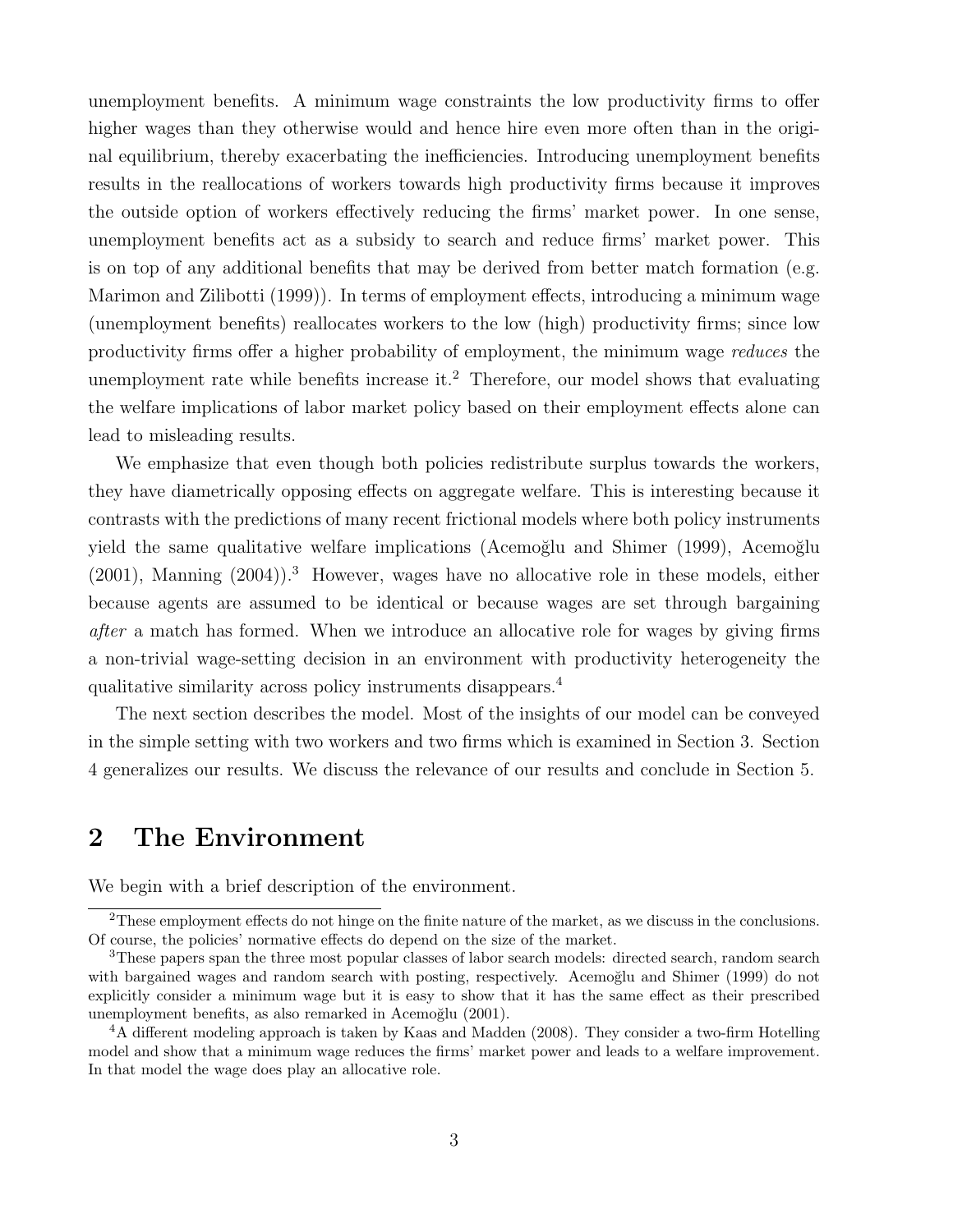unemployment benefits. A minimum wage constraints the low productivity firms to offer higher wages than they otherwise would and hence hire even more often than in the original equilibrium, thereby exacerbating the inefficiencies. Introducing unemployment benefits results in the reallocations of workers towards high productivity firms because it improves the outside option of workers effectively reducing the firms' market power. In one sense, unemployment benefits act as a subsidy to search and reduce firms' market power. This is on top of any additional benefits that may be derived from better match formation (e.g. Marimon and Zilibotti (1999)). In terms of employment effects, introducing a minimum wage (unemployment benefits) reallocates workers to the low (high) productivity firms; since low productivity firms offer a higher probability of employment, the minimum wage reduces the unemployment rate while benefits increase it.<sup>2</sup> Therefore, our model shows that evaluating the welfare implications of labor market policy based on their employment effects alone can lead to misleading results.

We emphasize that even though both policies redistribute surplus towards the workers, they have diametrically opposing effects on aggregate welfare. This is interesting because it contrasts with the predictions of many recent frictional models where both policy instruments yield the same qualitative welfare implications (Acemoğlu and Shimer (1999), Acemoğlu  $(2001)$ , Manning  $(2004)$ .<sup>3</sup> However, wages have no allocative role in these models, either because agents are assumed to be identical or because wages are set through bargaining after a match has formed. When we introduce an allocative role for wages by giving firms a non-trivial wage-setting decision in an environment with productivity heterogeneity the qualitative similarity across policy instruments disappears.<sup>4</sup>

The next section describes the model. Most of the insights of our model can be conveyed in the simple setting with two workers and two firms which is examined in Section 3. Section 4 generalizes our results. We discuss the relevance of our results and conclude in Section 5.

# 2 The Environment

We begin with a brief description of the environment.

<sup>&</sup>lt;sup>2</sup>These employment effects do not hinge on the finite nature of the market, as we discuss in the conclusions. Of course, the policies' normative effects do depend on the size of the market.

<sup>3</sup>These papers span the three most popular classes of labor search models: directed search, random search with bargained wages and random search with posting, respectively. Acemoğlu and Shimer (1999) do not explicitly consider a minimum wage but it is easy to show that it has the same effect as their prescribed unemployment benefits, as also remarked in Acemoğlu (2001).

<sup>4</sup>A different modeling approach is taken by Kaas and Madden (2008). They consider a two-firm Hotelling model and show that a minimum wage reduces the firms' market power and leads to a welfare improvement. In that model the wage does play an allocative role.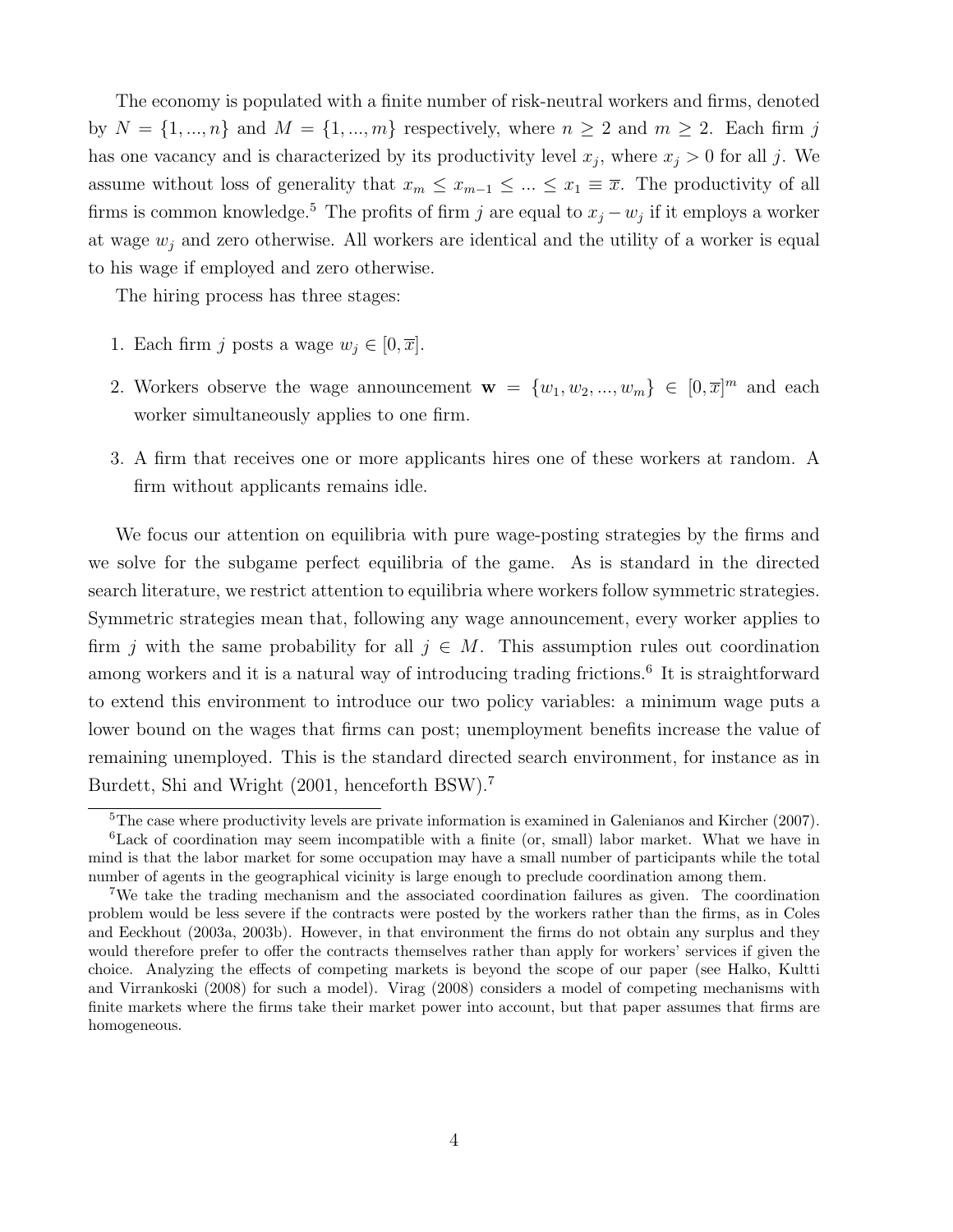The economy is populated with a finite number of risk-neutral workers and firms, denoted by  $N = \{1, ..., n\}$  and  $M = \{1, ..., m\}$  respectively, where  $n \geq 2$  and  $m \geq 2$ . Each firm j has one vacancy and is characterized by its productivity level  $x_j$ , where  $x_j > 0$  for all j. We assume without loss of generality that  $x_m \leq x_{m-1} \leq ... \leq x_1 \equiv \overline{x}$ . The productivity of all firms is common knowledge.<sup>5</sup> The profits of firm j are equal to  $x_j - w_j$  if it employs a worker at wage  $w_i$  and zero otherwise. All workers are identical and the utility of a worker is equal to his wage if employed and zero otherwise.

The hiring process has three stages:

- 1. Each firm j posts a wage  $w_j \in [0, \overline{x}]$ .
- 2. Workers observe the wage announcement  $\mathbf{w} = \{w_1, w_2, ..., w_m\} \in [0, \overline{x}]^m$  and each worker simultaneously applies to one firm.
- 3. A firm that receives one or more applicants hires one of these workers at random. A firm without applicants remains idle.

We focus our attention on equilibria with pure wage-posting strategies by the firms and we solve for the subgame perfect equilibria of the game. As is standard in the directed search literature, we restrict attention to equilibria where workers follow symmetric strategies. Symmetric strategies mean that, following any wage announcement, every worker applies to firm j with the same probability for all  $j \in M$ . This assumption rules out coordination among workers and it is a natural way of introducing trading frictions.<sup>6</sup> It is straightforward to extend this environment to introduce our two policy variables: a minimum wage puts a lower bound on the wages that firms can post; unemployment benefits increase the value of remaining unemployed. This is the standard directed search environment, for instance as in Burdett, Shi and Wright (2001, henceforth BSW).<sup>7</sup>

<sup>&</sup>lt;sup>5</sup>The case where productivity levels are private information is examined in Galenianos and Kircher (2007). <sup>6</sup>Lack of coordination may seem incompatible with a finite (or, small) labor market. What we have in mind is that the labor market for some occupation may have a small number of participants while the total number of agents in the geographical vicinity is large enough to preclude coordination among them.

<sup>7</sup>We take the trading mechanism and the associated coordination failures as given. The coordination problem would be less severe if the contracts were posted by the workers rather than the firms, as in Coles and Eeckhout (2003a, 2003b). However, in that environment the firms do not obtain any surplus and they would therefore prefer to offer the contracts themselves rather than apply for workers' services if given the choice. Analyzing the effects of competing markets is beyond the scope of our paper (see Halko, Kultti and Virrankoski (2008) for such a model). Virag (2008) considers a model of competing mechanisms with finite markets where the firms take their market power into account, but that paper assumes that firms are homogeneous.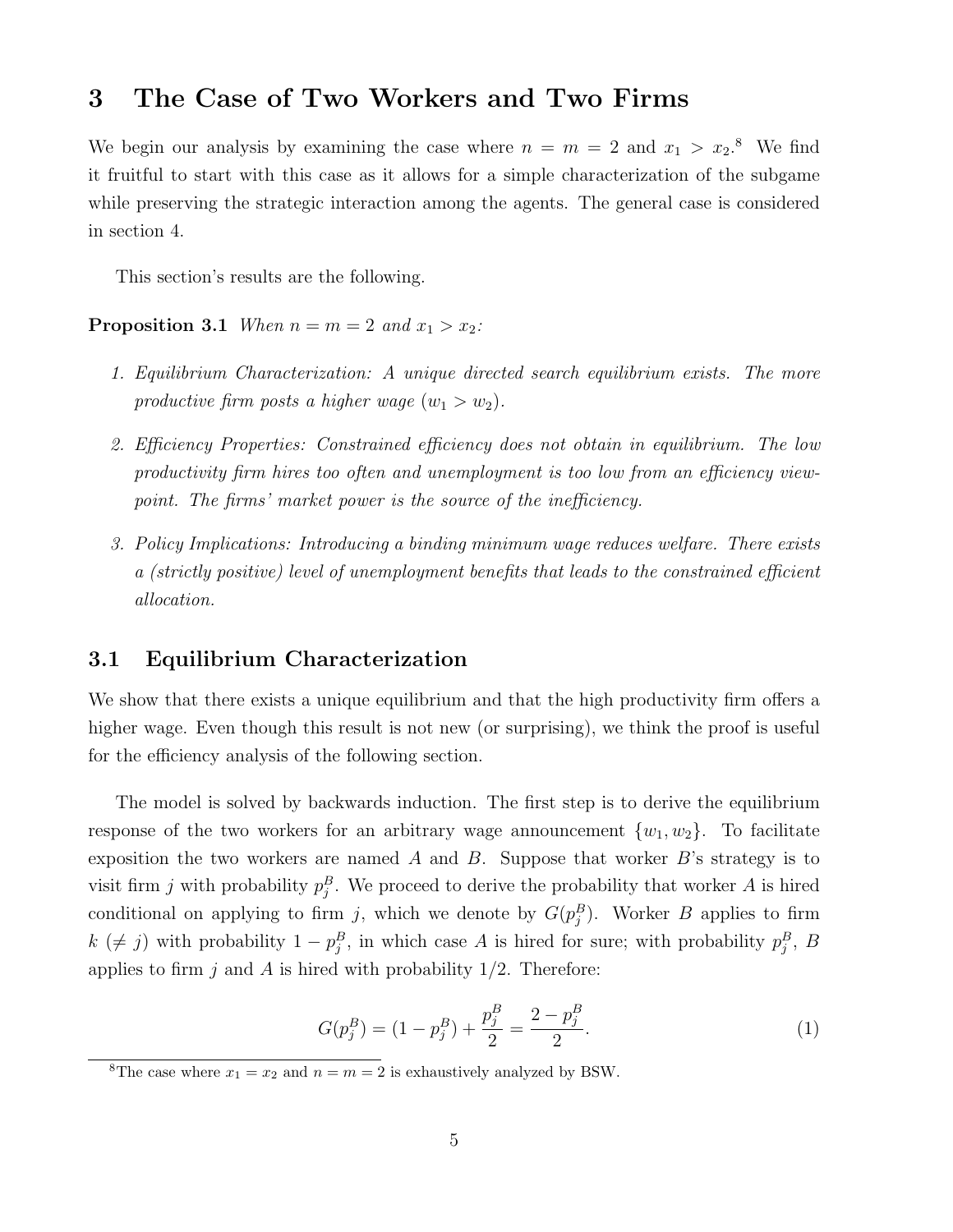## 3 The Case of Two Workers and Two Firms

We begin our analysis by examining the case where  $n = m = 2$  and  $x_1 > x_2$ .<sup>8</sup> We find it fruitful to start with this case as it allows for a simple characterization of the subgame while preserving the strategic interaction among the agents. The general case is considered in section 4.

This section's results are the following.

**Proposition 3.1** When  $n = m = 2$  and  $x_1 > x_2$ :

- 1. Equilibrium Characterization: A unique directed search equilibrium exists. The more productive firm posts a higher wage  $(w_1 > w_2)$ .
- 2. Efficiency Properties: Constrained efficiency does not obtain in equilibrium. The low productivity firm hires too often and unemployment is too low from an efficiency viewpoint. The firms' market power is the source of the inefficiency.
- 3. Policy Implications: Introducing a binding minimum wage reduces welfare. There exists a (strictly positive) level of unemployment benefits that leads to the constrained efficient allocation.

### 3.1 Equilibrium Characterization

We show that there exists a unique equilibrium and that the high productivity firm offers a higher wage. Even though this result is not new (or surprising), we think the proof is useful for the efficiency analysis of the following section.

The model is solved by backwards induction. The first step is to derive the equilibrium response of the two workers for an arbitrary wage announcement  $\{w_1, w_2\}$ . To facilitate exposition the two workers are named  $A$  and  $B$ . Suppose that worker  $B$ 's strategy is to visit firm j with probability  $p_j^B$ . We proceed to derive the probability that worker A is hired conditional on applying to firm j, which we denote by  $G(p_j^B)$ . Worker B applies to firm  $k \ (\neq j)$  with probability  $1 - p_j^B$ , in which case A is hired for sure; with probability  $p_j^B$ , B applies to firm j and A is hired with probability  $1/2$ . Therefore:

$$
G(p_j^B) = (1 - p_j^B) + \frac{p_j^B}{2} = \frac{2 - p_j^B}{2}.
$$
\n(1)

<sup>&</sup>lt;sup>8</sup>The case where  $x_1 = x_2$  and  $n = m = 2$  is exhaustively analyzed by BSW.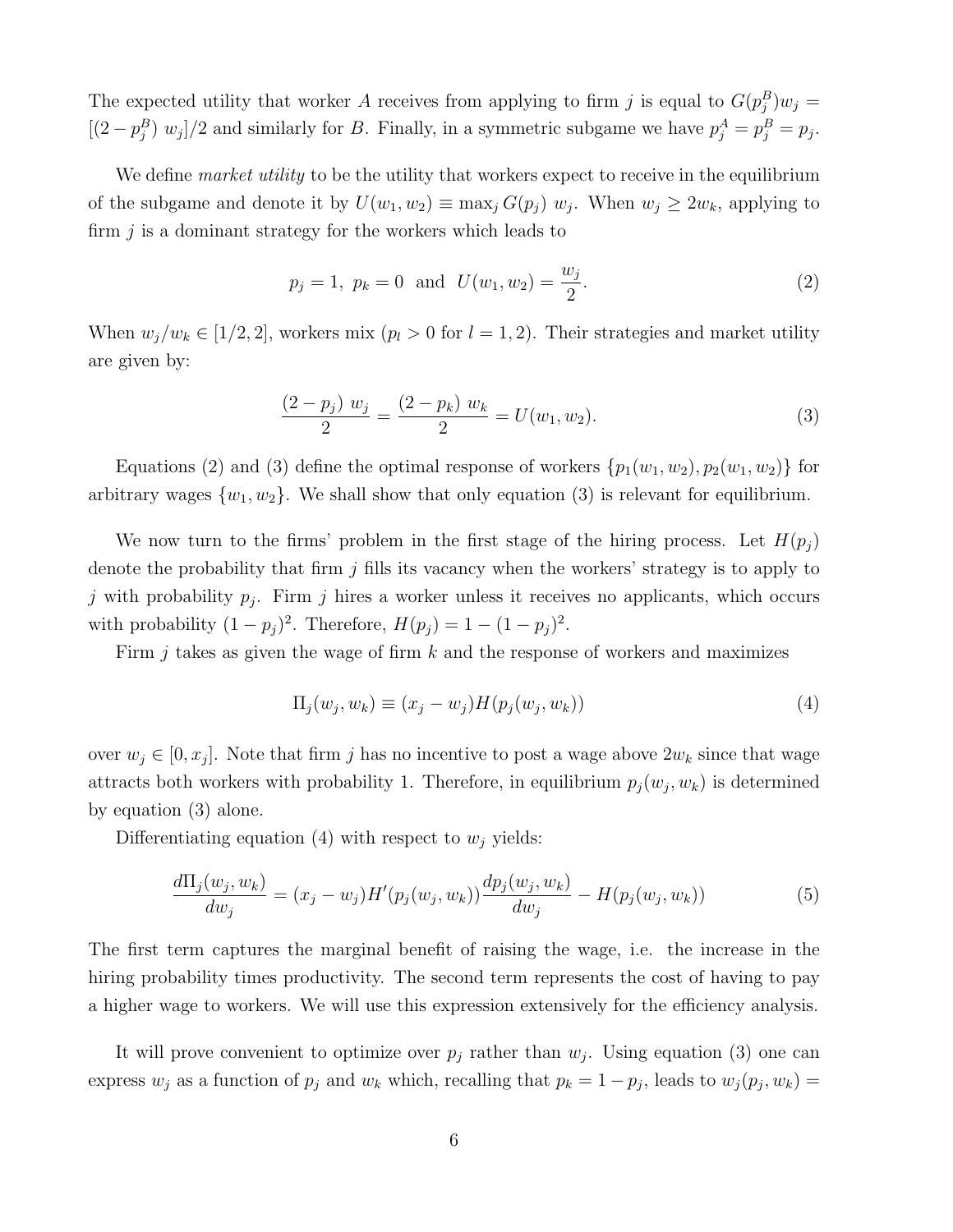The expected utility that worker A receives from applying to firm j is equal to  $G(p_j^B)w_j =$  $[(2-p_j^B) w_j]/2$  and similarly for B. Finally, in a symmetric subgame we have  $p_j^A = p_j^B = p_j$ .

We define *market utility* to be the utility that workers expect to receive in the equilibrium of the subgame and denote it by  $U(w_1, w_2) \equiv \max_j G(p_j) w_j$ . When  $w_j \geq 2w_k$ , applying to firm  $j$  is a dominant strategy for the workers which leads to

$$
p_j = 1, p_k = 0 \text{ and } U(w_1, w_2) = \frac{w_j}{2}.
$$
 (2)

When  $w_j/w_k \in [1/2, 2]$ , workers mix  $(p_l > 0$  for  $l = 1, 2)$ . Their strategies and market utility are given by:

$$
\frac{(2-p_j) w_j}{2} = \frac{(2-p_k) w_k}{2} = U(w_1, w_2).
$$
\n(3)

Equations (2) and (3) define the optimal response of workers  $\{p_1(w_1, w_2), p_2(w_1, w_2)\}\$ for arbitrary wages  $\{w_1, w_2\}$ . We shall show that only equation (3) is relevant for equilibrium.

We now turn to the firms' problem in the first stage of the hiring process. Let  $H(p_i)$ denote the probability that firm  $j$  fills its vacancy when the workers' strategy is to apply to j with probability  $p_j$ . Firm j hires a worker unless it receives no applicants, which occurs with probability  $(1-p_j)^2$ . Therefore,  $H(p_j) = 1 - (1-p_j)^2$ .

Firm  $i$  takes as given the wage of firm  $k$  and the response of workers and maximizes

$$
\Pi_j(w_j, w_k) \equiv (x_j - w_j) H(p_j(w_j, w_k)) \tag{4}
$$

over  $w_j \in [0, x_j]$ . Note that firm j has no incentive to post a wage above  $2w_k$  since that wage attracts both workers with probability 1. Therefore, in equilibrium  $p_j(w_j, w_k)$  is determined by equation (3) alone.

Differentiating equation (4) with respect to  $w_i$  yields:

$$
\frac{d\Pi_j(w_j, w_k)}{dw_j} = (x_j - w_j)H'(p_j(w_j, w_k))\frac{dp_j(w_j, w_k)}{dw_j} - H(p_j(w_j, w_k))
$$
\n(5)

The first term captures the marginal benefit of raising the wage, i.e. the increase in the hiring probability times productivity. The second term represents the cost of having to pay a higher wage to workers. We will use this expression extensively for the efficiency analysis.

It will prove convenient to optimize over  $p_j$  rather than  $w_j$ . Using equation (3) one can express  $w_j$  as a function of  $p_j$  and  $w_k$  which, recalling that  $p_k = 1 - p_j$ , leads to  $w_j(p_j, w_k) =$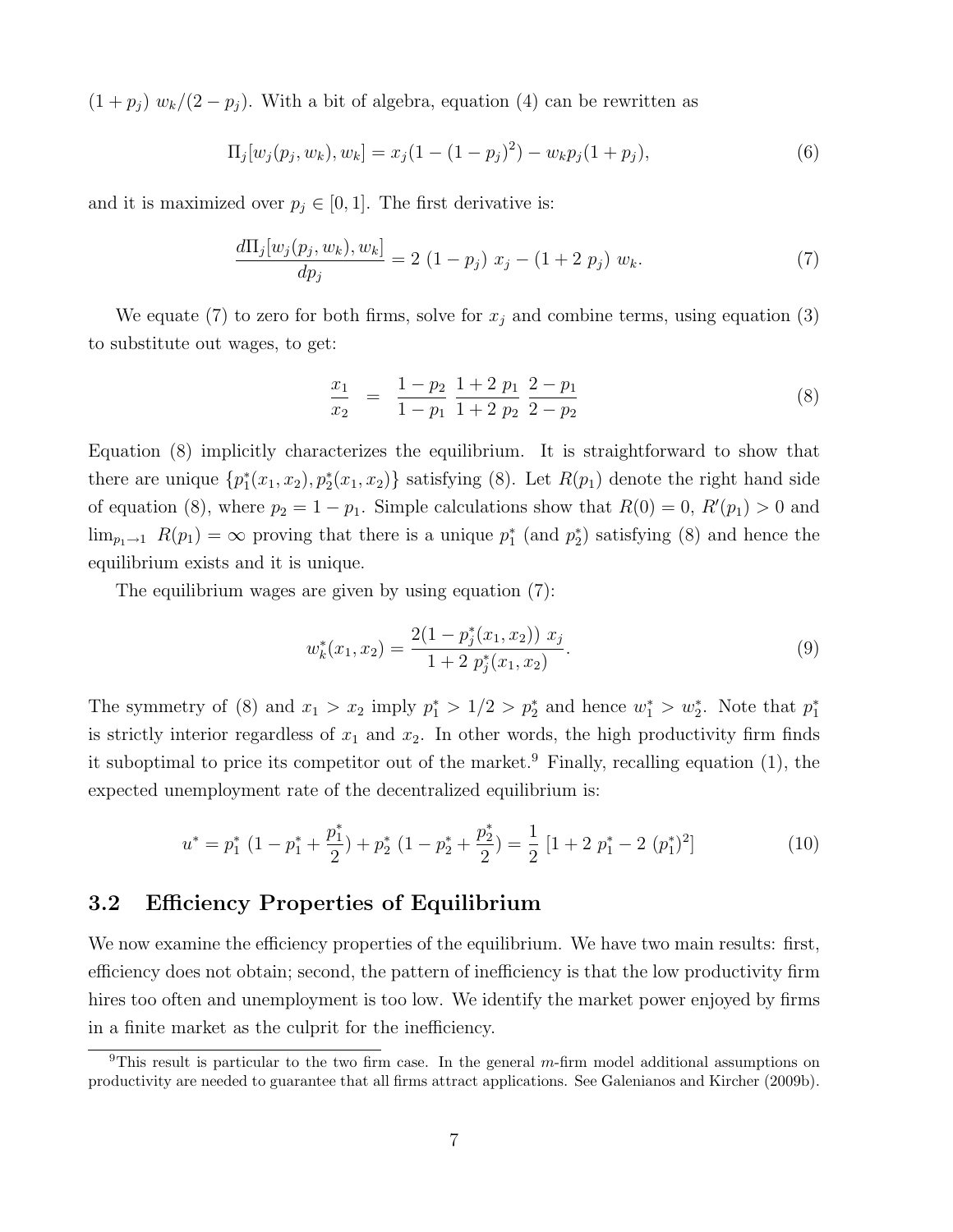$(1+p_j) w_k/(2-p_j)$ . With a bit of algebra, equation (4) can be rewritten as

$$
\Pi_j[w_j(p_j, w_k), w_k] = x_j(1 - (1 - p_j)^2) - w_k p_j(1 + p_j), \tag{6}
$$

and it is maximized over  $p_j \in [0, 1]$ . The first derivative is:

$$
\frac{d\Pi_j[w_j(p_j, w_k), w_k]}{dp_j} = 2 (1 - p_j) x_j - (1 + 2 p_j) w_k.
$$
\n(7)

We equate (7) to zero for both firms, solve for  $x_j$  and combine terms, using equation (3) to substitute out wages, to get:

$$
\frac{x_1}{x_2} = \frac{1-p_2}{1-p_1} \frac{1+2 p_1}{1+2 p_2} \frac{2-p_1}{2-p_2}
$$
\n(8)

Equation (8) implicitly characterizes the equilibrium. It is straightforward to show that there are unique  $\{p_1^*(x_1, x_2), p_2^*(x_1, x_2)\}$  satisfying (8). Let  $R(p_1)$  denote the right hand side of equation (8), where  $p_2 = 1 - p_1$ . Simple calculations show that  $R(0) = 0$ ,  $R'(p_1) > 0$  and  $\lim_{p_1 \to 1} R(p_1) = \infty$  proving that there is a unique  $p_1^*$  (and  $p_2^*$ ) satisfying (8) and hence the equilibrium exists and it is unique.

The equilibrium wages are given by using equation (7):

$$
w_k^*(x_1, x_2) = \frac{2(1 - p_j^*(x_1, x_2)) x_j}{1 + 2 p_j^*(x_1, x_2)}.
$$
\n(9)

The symmetry of (8) and  $x_1 > x_2$  imply  $p_1^* > 1/2 > p_2^*$  and hence  $w_1^* > w_2^*$ . Note that  $p_1^*$ is strictly interior regardless of  $x_1$  and  $x_2$ . In other words, the high productivity firm finds it suboptimal to price its competitor out of the market.<sup>9</sup> Finally, recalling equation  $(1)$ , the expected unemployment rate of the decentralized equilibrium is:

$$
u^* = p_1^* (1 - p_1^* + \frac{p_1^*}{2}) + p_2^* (1 - p_2^* + \frac{p_2^*}{2}) = \frac{1}{2} [1 + 2 p_1^* - 2 (p_1^*)^2]
$$
(10)

### 3.2 Efficiency Properties of Equilibrium

We now examine the efficiency properties of the equilibrium. We have two main results: first, efficiency does not obtain; second, the pattern of inefficiency is that the low productivity firm hires too often and unemployment is too low. We identify the market power enjoyed by firms in a finite market as the culprit for the inefficiency.

<sup>&</sup>lt;sup>9</sup>This result is particular to the two firm case. In the general  $m$ -firm model additional assumptions on productivity are needed to guarantee that all firms attract applications. See Galenianos and Kircher (2009b).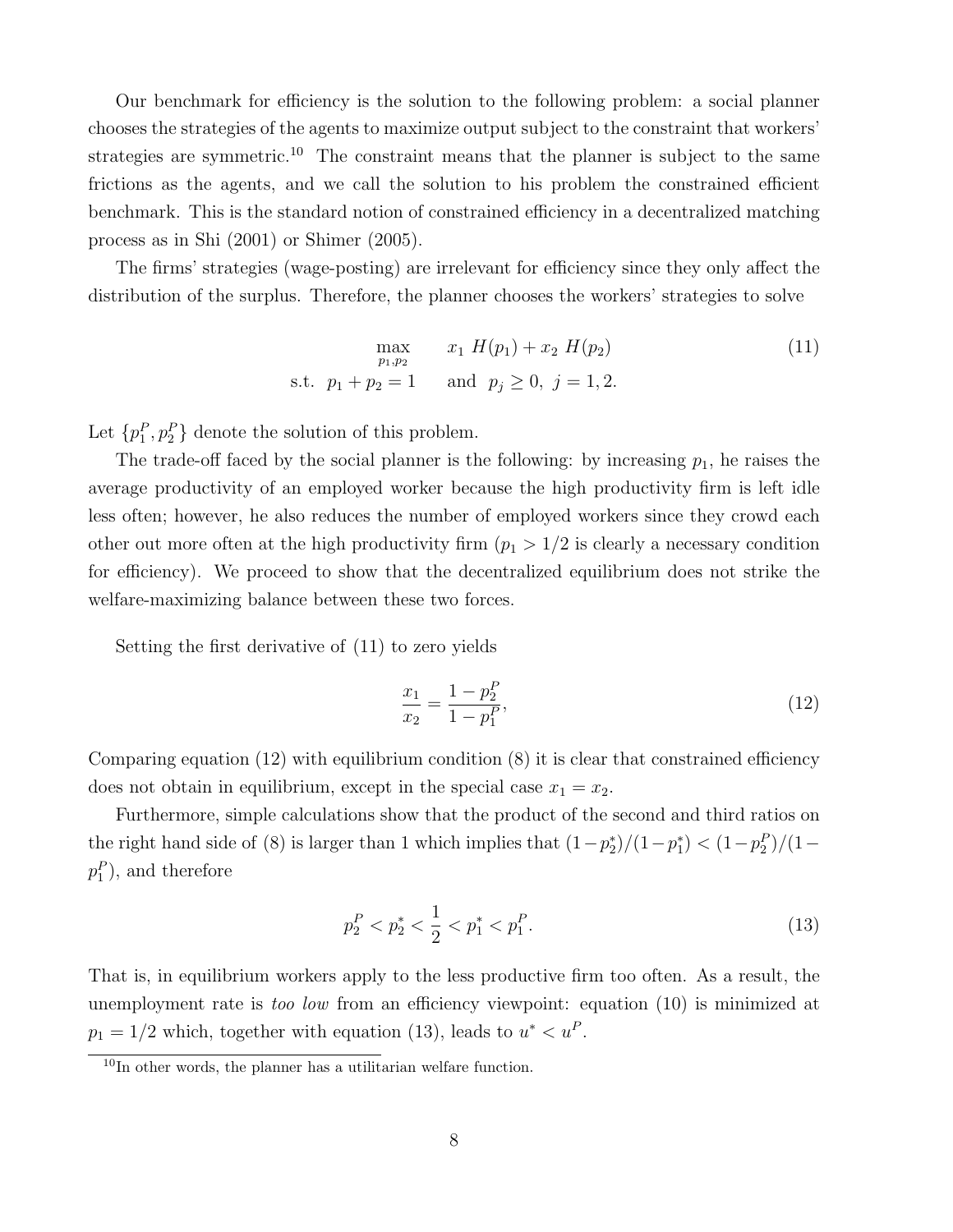Our benchmark for efficiency is the solution to the following problem: a social planner chooses the strategies of the agents to maximize output subject to the constraint that workers' strategies are symmetric.<sup>10</sup> The constraint means that the planner is subject to the same frictions as the agents, and we call the solution to his problem the constrained efficient benchmark. This is the standard notion of constrained efficiency in a decentralized matching process as in Shi (2001) or Shimer (2005).

The firms' strategies (wage-posting) are irrelevant for efficiency since they only affect the distribution of the surplus. Therefore, the planner chooses the workers' strategies to solve

$$
\max_{p_1, p_2} x_1 H(p_1) + x_2 H(p_2)
$$
\n
$$
\text{s.t. } p_1 + p_2 = 1 \quad \text{and } p_j \ge 0, j = 1, 2.
$$
\n
$$
(11)
$$

Let  $\{p_1^P, p_2^P\}$  denote the solution of this problem.

The trade-off faced by the social planner is the following: by increasing  $p_1$ , he raises the average productivity of an employed worker because the high productivity firm is left idle less often; however, he also reduces the number of employed workers since they crowd each other out more often at the high productivity firm  $(p_1 > 1/2)$  is clearly a necessary condition for efficiency). We proceed to show that the decentralized equilibrium does not strike the welfare-maximizing balance between these two forces.

Setting the first derivative of (11) to zero yields

$$
\frac{x_1}{x_2} = \frac{1 - p_2^P}{1 - p_1^P},\tag{12}
$$

Comparing equation (12) with equilibrium condition (8) it is clear that constrained efficiency does not obtain in equilibrium, except in the special case  $x_1 = x_2$ .

Furthermore, simple calculations show that the product of the second and third ratios on the right hand side of (8) is larger than 1 which implies that  $(1-p_2^*)/(1-p_1^*) < (1-p_2^p)/(1-p_1^*)$  $p_1^P$ ), and therefore

$$
p_2^P < p_2^* < \frac{1}{2} < p_1^* < p_1^P. \tag{13}
$$

That is, in equilibrium workers apply to the less productive firm too often. As a result, the unemployment rate is *too low* from an efficiency viewpoint: equation (10) is minimized at  $p_1 = 1/2$  which, together with equation (13), leads to  $u^* < u^P$ .

<sup>&</sup>lt;sup>10</sup>In other words, the planner has a utilitarian welfare function.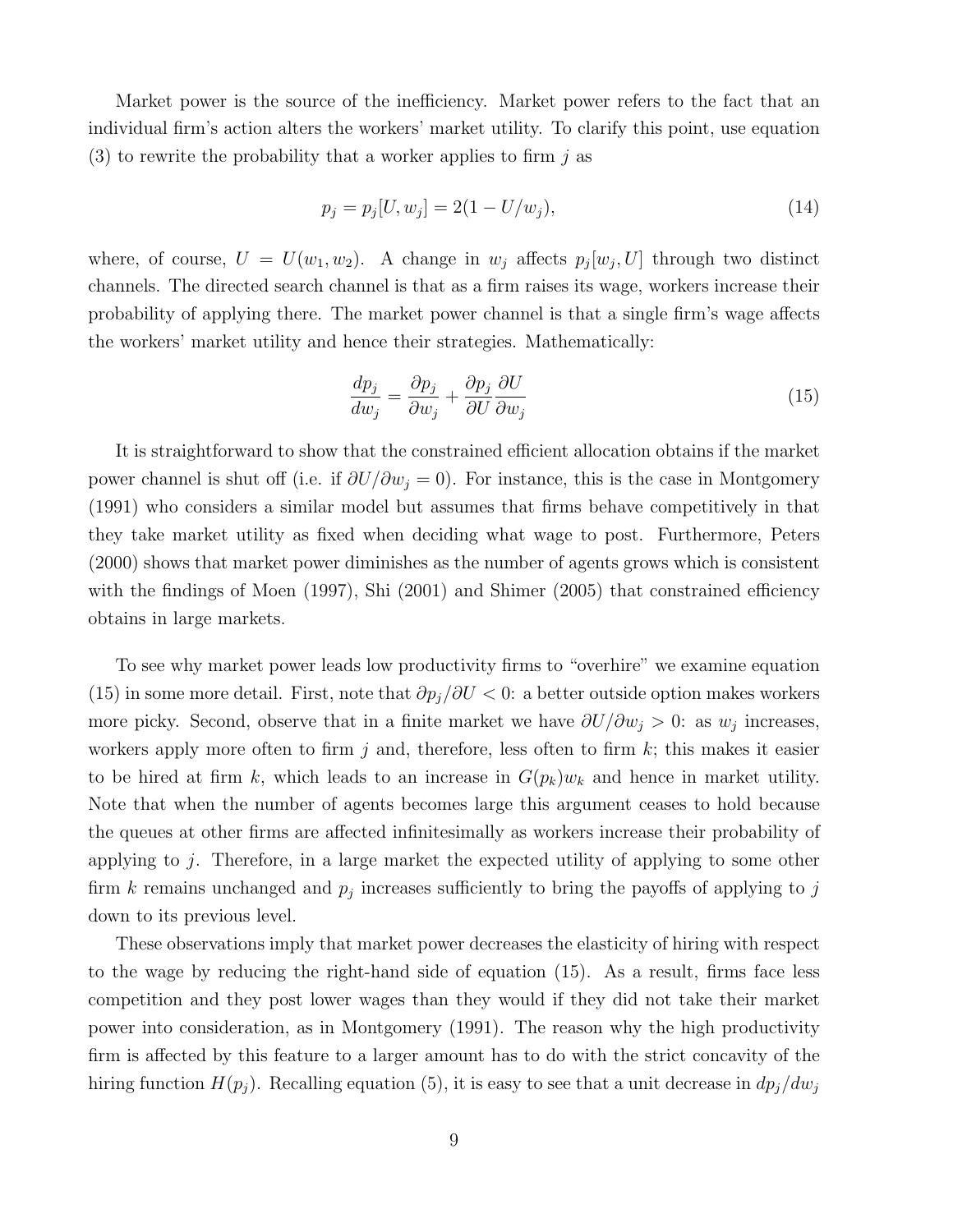Market power is the source of the inefficiency. Market power refers to the fact that an individual firm's action alters the workers' market utility. To clarify this point, use equation (3) to rewrite the probability that a worker applies to firm  $i$  as

$$
p_j = p_j[U, w_j] = 2(1 - U/w_j),\tag{14}
$$

where, of course,  $U = U(w_1, w_2)$ . A change in  $w_j$  affects  $p_j[w_j, U]$  through two distinct channels. The directed search channel is that as a firm raises its wage, workers increase their probability of applying there. The market power channel is that a single firm's wage affects the workers' market utility and hence their strategies. Mathematically:

$$
\frac{dp_j}{dw_j} = \frac{\partial p_j}{\partial w_j} + \frac{\partial p_j}{\partial U} \frac{\partial U}{\partial w_j}
$$
\n(15)

It is straightforward to show that the constrained efficient allocation obtains if the market power channel is shut off (i.e. if  $\partial U/\partial w_i = 0$ ). For instance, this is the case in Montgomery (1991) who considers a similar model but assumes that firms behave competitively in that they take market utility as fixed when deciding what wage to post. Furthermore, Peters (2000) shows that market power diminishes as the number of agents grows which is consistent with the findings of Moen (1997), Shi (2001) and Shimer (2005) that constrained efficiency obtains in large markets.

To see why market power leads low productivity firms to "overhire" we examine equation (15) in some more detail. First, note that  $\partial p_j/\partial U < 0$ : a better outside option makes workers more picky. Second, observe that in a finite market we have  $\partial U/\partial w_j > 0$ : as  $w_j$  increases, workers apply more often to firm j and, therefore, less often to firm  $k$ ; this makes it easier to be hired at firm k, which leads to an increase in  $G(p_k)w_k$  and hence in market utility. Note that when the number of agents becomes large this argument ceases to hold because the queues at other firms are affected infinitesimally as workers increase their probability of applying to j. Therefore, in a large market the expected utility of applying to some other firm k remains unchanged and  $p_j$  increases sufficiently to bring the payoffs of applying to j down to its previous level.

These observations imply that market power decreases the elasticity of hiring with respect to the wage by reducing the right-hand side of equation (15). As a result, firms face less competition and they post lower wages than they would if they did not take their market power into consideration, as in Montgomery (1991). The reason why the high productivity firm is affected by this feature to a larger amount has to do with the strict concavity of the hiring function  $H(p_j)$ . Recalling equation (5), it is easy to see that a unit decrease in  $dp_j/dw_j$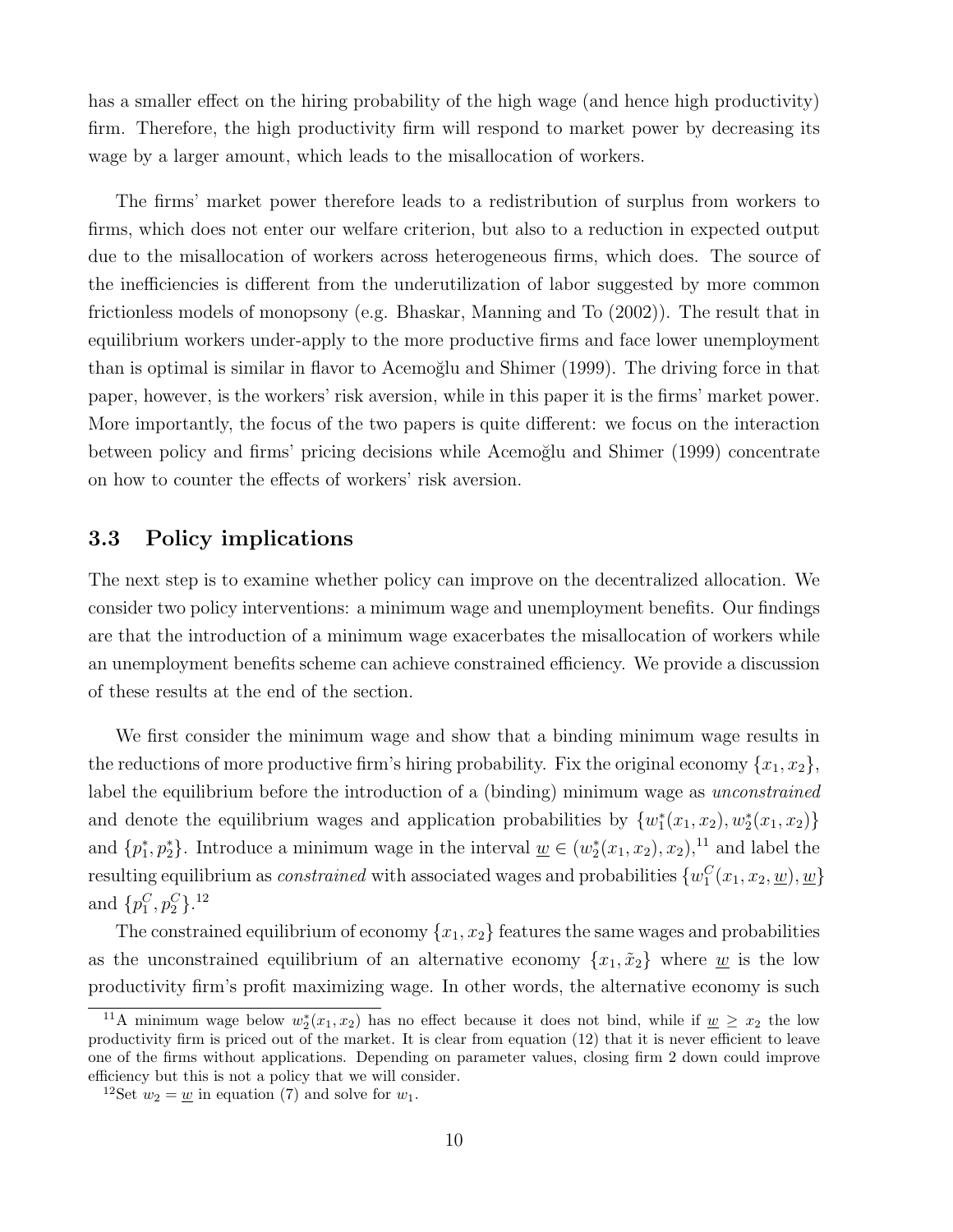has a smaller effect on the hiring probability of the high wage (and hence high productivity) firm. Therefore, the high productivity firm will respond to market power by decreasing its wage by a larger amount, which leads to the misallocation of workers.

The firms' market power therefore leads to a redistribution of surplus from workers to firms, which does not enter our welfare criterion, but also to a reduction in expected output due to the misallocation of workers across heterogeneous firms, which does. The source of the inefficiencies is different from the underutilization of labor suggested by more common frictionless models of monopsony (e.g. Bhaskar, Manning and To (2002)). The result that in equilibrium workers under-apply to the more productive firms and face lower unemployment than is optimal is similar in flavor to Acemoğlu and Shimer (1999). The driving force in that paper, however, is the workers' risk aversion, while in this paper it is the firms' market power. More importantly, the focus of the two papers is quite different: we focus on the interaction between policy and firms' pricing decisions while Acemoğlu and Shimer (1999) concentrate on how to counter the effects of workers' risk aversion.

### 3.3 Policy implications

The next step is to examine whether policy can improve on the decentralized allocation. We consider two policy interventions: a minimum wage and unemployment benefits. Our findings are that the introduction of a minimum wage exacerbates the misallocation of workers while an unemployment benefits scheme can achieve constrained efficiency. We provide a discussion of these results at the end of the section.

We first consider the minimum wage and show that a binding minimum wage results in the reductions of more productive firm's hiring probability. Fix the original economy  $\{x_1, x_2\}$ , label the equilibrium before the introduction of a (binding) minimum wage as *unconstrained* and denote the equilibrium wages and application probabilities by  $\{w_1^*(x_1, x_2), w_2^*(x_1, x_2)\}\$ and  $\{p_1^*, p_2^*\}$ . Introduce a minimum wage in the interval  $\underline{w} \in (w_2^*(x_1, x_2), x_2),$ <sup>11</sup> and label the resulting equilibrium as *constrained* with associated wages and probabilities  $\{w_1^C(x_1, x_2, \underline{w}), \underline{w}\}$ and  $\{p_1^C, p_2^C\}$ .<sup>12</sup>

The constrained equilibrium of economy  ${x_1, x_2}$  features the same wages and probabilities as the unconstrained equilibrium of an alternative economy  $\{x_1, \tilde{x}_2\}$  where w is the low productivity firm's profit maximizing wage. In other words, the alternative economy is such

<sup>&</sup>lt;sup>11</sup>A minimum wage below  $w_2^*(x_1, x_2)$  has no effect because it does not bind, while if  $\underline{w} \geq x_2$  the low productivity firm is priced out of the market. It is clear from equation (12) that it is never efficient to leave one of the firms without applications. Depending on parameter values, closing firm 2 down could improve efficiency but this is not a policy that we will consider.

<sup>&</sup>lt;sup>12</sup>Set  $w_2 = \underline{w}$  in equation (7) and solve for  $w_1$ .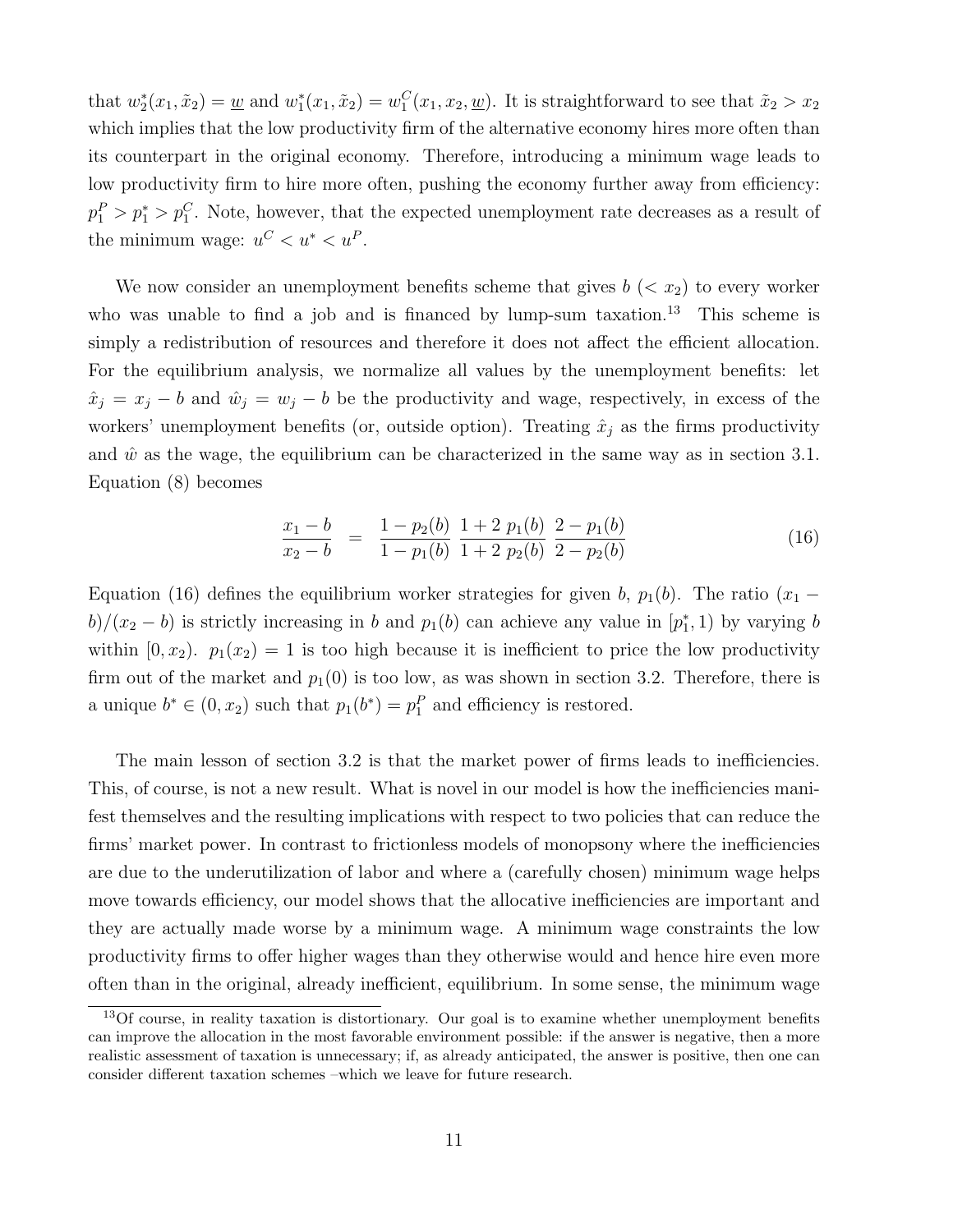that  $w_2^*(x_1, \tilde{x}_2) = \underline{w}$  and  $w_1^*(x_1, \tilde{x}_2) = w_1^C(x_1, x_2, \underline{w})$ . It is straightforward to see that  $\tilde{x}_2 > x_2$ which implies that the low productivity firm of the alternative economy hires more often than its counterpart in the original economy. Therefore, introducing a minimum wage leads to low productivity firm to hire more often, pushing the economy further away from efficiency:  $p_1^P > p_1^* > p_1^C$ . Note, however, that the expected unemployment rate decreases as a result of the minimum wage:  $u^C < u^* < u^P$ .

We now consider an unemployment benefits scheme that gives  $b \, \langle \, x_2 \rangle$  to every worker who was unable to find a job and is financed by lump-sum taxation.<sup>13</sup> This scheme is simply a redistribution of resources and therefore it does not affect the efficient allocation. For the equilibrium analysis, we normalize all values by the unemployment benefits: let  $\hat{x}_j = x_j - b$  and  $\hat{w}_j = w_j - b$  be the productivity and wage, respectively, in excess of the workers' unemployment benefits (or, outside option). Treating  $\hat{x}_j$  as the firms productivity and  $\hat{w}$  as the wage, the equilibrium can be characterized in the same way as in section 3.1. Equation (8) becomes

$$
\frac{x_1 - b}{x_2 - b} = \frac{1 - p_2(b)}{1 - p_1(b)} \frac{1 + 2 p_1(b)}{1 + 2 p_2(b)} \frac{2 - p_1(b)}{2 - p_2(b)}
$$
(16)

Equation (16) defines the equilibrium worker strategies for given b,  $p_1(b)$ . The ratio  $(x_1$  $b)/(x_2 - b)$  is strictly increasing in b and  $p_1(b)$  can achieve any value in  $[p_1^*, 1)$  by varying b within  $[0, x_2)$ .  $p_1(x_2) = 1$  is too high because it is inefficient to price the low productivity firm out of the market and  $p_1(0)$  is too low, as was shown in section 3.2. Therefore, there is a unique  $b^* \in (0, x_2)$  such that  $p_1(b^*) = p_1^P$  and efficiency is restored.

The main lesson of section 3.2 is that the market power of firms leads to inefficiencies. This, of course, is not a new result. What is novel in our model is how the inefficiencies manifest themselves and the resulting implications with respect to two policies that can reduce the firms' market power. In contrast to frictionless models of monopsony where the inefficiencies are due to the underutilization of labor and where a (carefully chosen) minimum wage helps move towards efficiency, our model shows that the allocative inefficiencies are important and they are actually made worse by a minimum wage. A minimum wage constraints the low productivity firms to offer higher wages than they otherwise would and hence hire even more often than in the original, already inefficient, equilibrium. In some sense, the minimum wage

 $13$ Of course, in reality taxation is distortionary. Our goal is to examine whether unemployment benefits can improve the allocation in the most favorable environment possible: if the answer is negative, then a more realistic assessment of taxation is unnecessary; if, as already anticipated, the answer is positive, then one can consider different taxation schemes –which we leave for future research.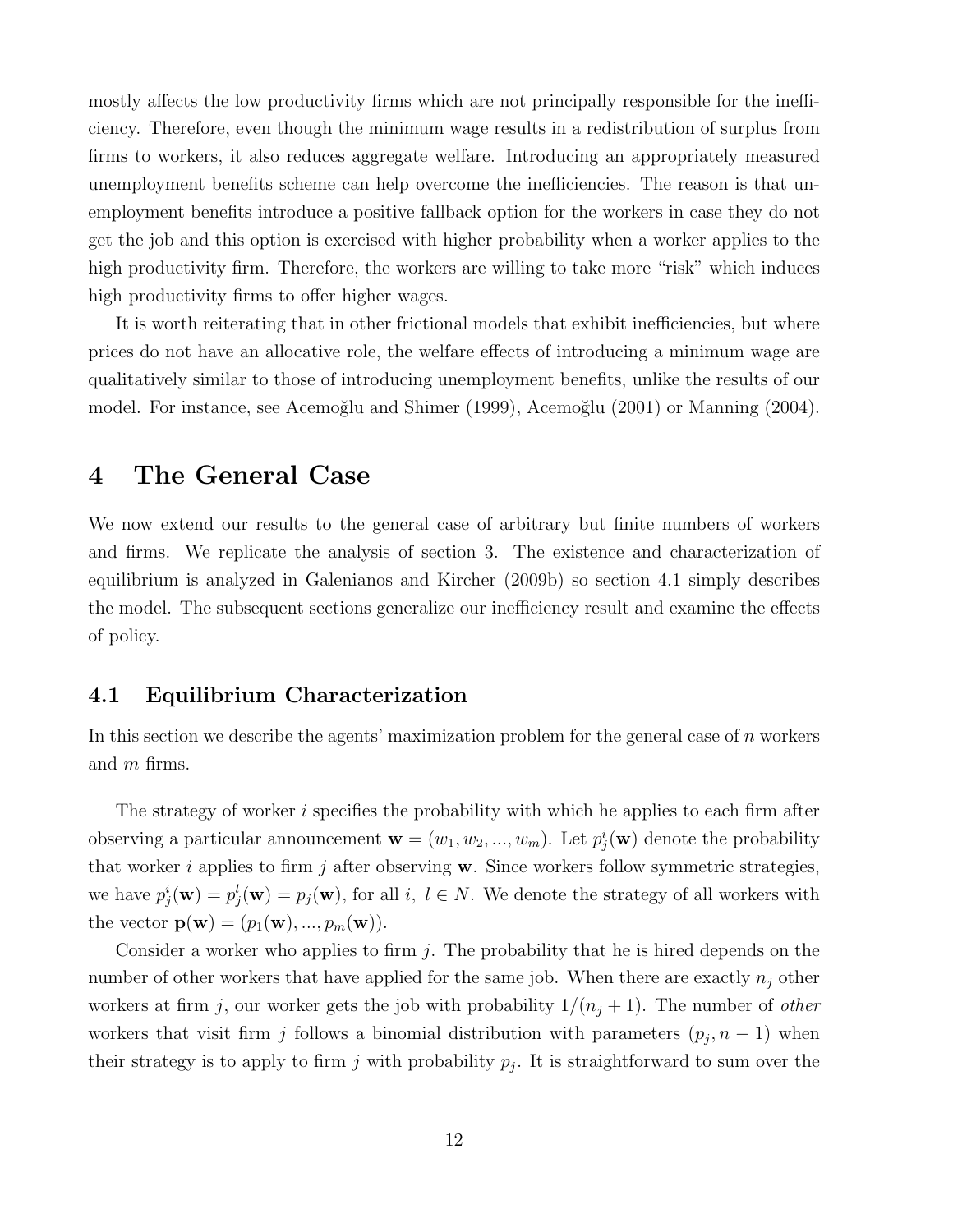mostly affects the low productivity firms which are not principally responsible for the inefficiency. Therefore, even though the minimum wage results in a redistribution of surplus from firms to workers, it also reduces aggregate welfare. Introducing an appropriately measured unemployment benefits scheme can help overcome the inefficiencies. The reason is that unemployment benefits introduce a positive fallback option for the workers in case they do not get the job and this option is exercised with higher probability when a worker applies to the high productivity firm. Therefore, the workers are willing to take more "risk" which induces high productivity firms to offer higher wages.

It is worth reiterating that in other frictional models that exhibit inefficiencies, but where prices do not have an allocative role, the welfare effects of introducing a minimum wage are qualitatively similar to those of introducing unemployment benefits, unlike the results of our model. For instance, see Acemoğlu and Shimer (1999), Acemoğlu (2001) or Manning (2004).

### 4 The General Case

We now extend our results to the general case of arbitrary but finite numbers of workers and firms. We replicate the analysis of section 3. The existence and characterization of equilibrium is analyzed in Galenianos and Kircher (2009b) so section 4.1 simply describes the model. The subsequent sections generalize our inefficiency result and examine the effects of policy.

### 4.1 Equilibrium Characterization

In this section we describe the agents' maximization problem for the general case of  $n$  workers and m firms.

The strategy of worker i specifies the probability with which he applies to each firm after observing a particular announcement  $\mathbf{w} = (w_1, w_2, ..., w_m)$ . Let  $p_j^i(\mathbf{w})$  denote the probability that worker i applies to firm j after observing  $w$ . Since workers follow symmetric strategies, we have  $p_j^i(\mathbf{w}) = p_j^l(\mathbf{w}) = p_j(\mathbf{w})$ , for all i,  $l \in N$ . We denote the strategy of all workers with the vector  $\mathbf{p}(\mathbf{w}) = (p_1(\mathbf{w}), ..., p_m(\mathbf{w})).$ 

Consider a worker who applies to firm  $j$ . The probability that he is hired depends on the number of other workers that have applied for the same job. When there are exactly  $n_j$  other workers at firm j, our worker gets the job with probability  $1/(n_j + 1)$ . The number of *other* workers that visit firm j follows a binomial distribution with parameters  $(p_j, n-1)$  when their strategy is to apply to firm j with probability  $p_j$ . It is straightforward to sum over the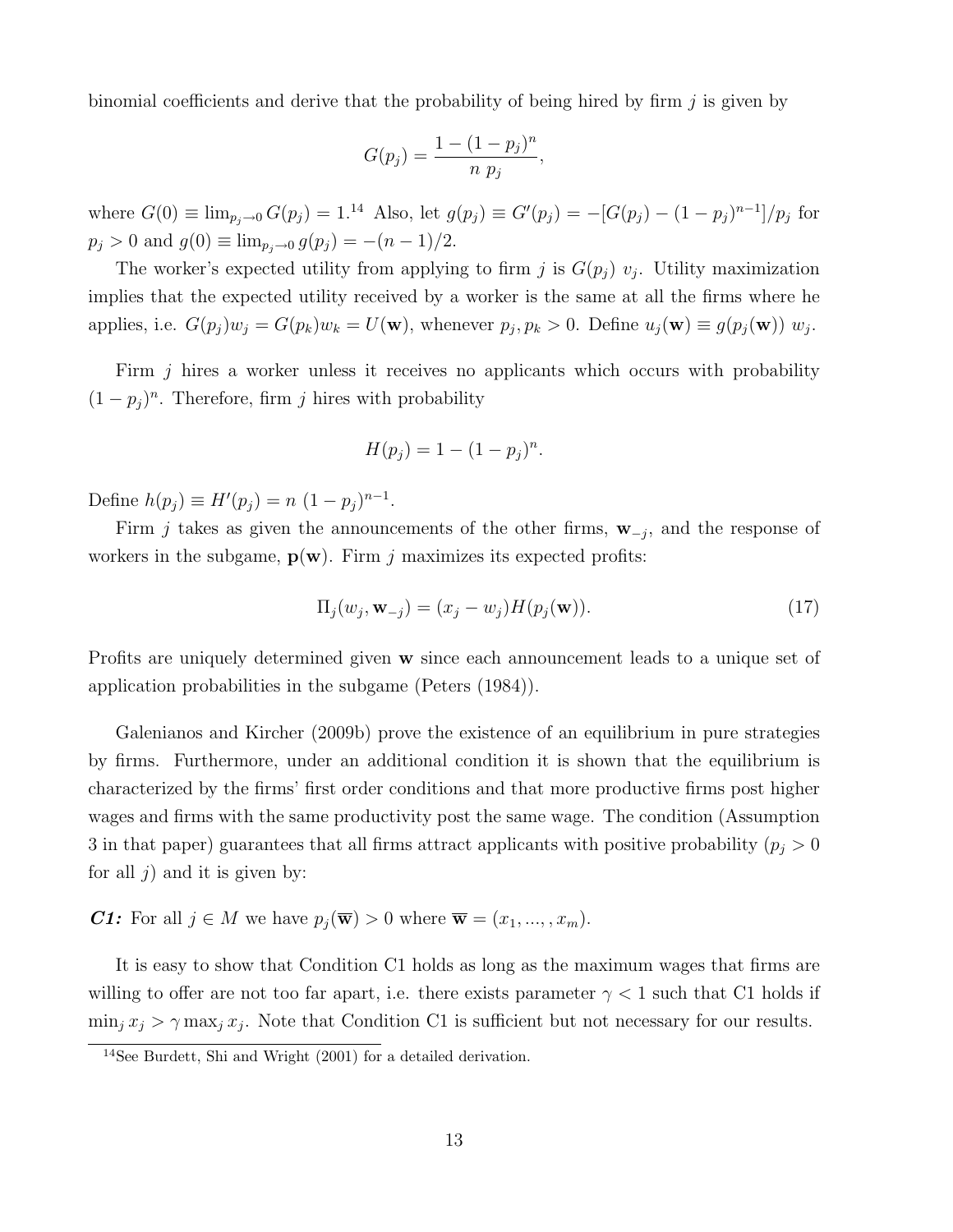binomial coefficients and derive that the probability of being hired by firm  $j$  is given by

$$
G(p_j) = \frac{1 - (1 - p_j)^n}{n p_j},
$$

where  $G(0) \equiv \lim_{p_j \to 0} G(p_j) = 1^{14}$  Also, let  $g(p_j) \equiv G'(p_j) = -[G(p_j) - (1-p_j)^{n-1}]/p_j$  for  $p_j > 0$  and  $g(0) \equiv \lim_{p_j \to 0} g(p_j) = -(n-1)/2$ .

The worker's expected utility from applying to firm j is  $G(p_j)$   $v_j$ . Utility maximization implies that the expected utility received by a worker is the same at all the firms where he applies, i.e.  $G(p_j)w_j = G(p_k)w_k = U(\mathbf{w})$ , whenever  $p_j, p_k > 0$ . Define  $u_j(\mathbf{w}) \equiv g(p_j(\mathbf{w})) w_j$ .

Firm j hires a worker unless it receives no applicants which occurs with probability  $(1-p_j)^n$ . Therefore, firm j hires with probability

$$
H(p_j) = 1 - (1 - p_j)^n.
$$

Define  $h(p_j) \equiv H'(p_j) = n (1 - p_j)^{n-1}$ .

Firm j takes as given the announcements of the other firms,  $\mathbf{w}_{-j}$ , and the response of workers in the subgame,  $p(w)$ . Firm j maximizes its expected profits:

$$
\Pi_j(w_j, \mathbf{w}_{-j}) = (x_j - w_j)H(p_j(\mathbf{w})).
$$
\n(17)

Profits are uniquely determined given **w** since each announcement leads to a unique set of application probabilities in the subgame (Peters (1984)).

Galenianos and Kircher (2009b) prove the existence of an equilibrium in pure strategies by firms. Furthermore, under an additional condition it is shown that the equilibrium is characterized by the firms' first order conditions and that more productive firms post higher wages and firms with the same productivity post the same wage. The condition (Assumption 3 in that paper) guarantees that all firms attract applicants with positive probability  $(p_j > 0$ for all  $j$ ) and it is given by:

C1: For all  $j \in M$  we have  $p_i(\overline{\mathbf{w}}) > 0$  where  $\overline{\mathbf{w}} = (x_1, ..., x_m)$ .

It is easy to show that Condition C1 holds as long as the maximum wages that firms are willing to offer are not too far apart, i.e. there exists parameter  $\gamma < 1$  such that C1 holds if  $\min_j x_j > \gamma \max_j x_j$ . Note that Condition C1 is sufficient but not necessary for our results.

<sup>&</sup>lt;sup>14</sup>See Burdett, Shi and Wright  $(2001)$  for a detailed derivation.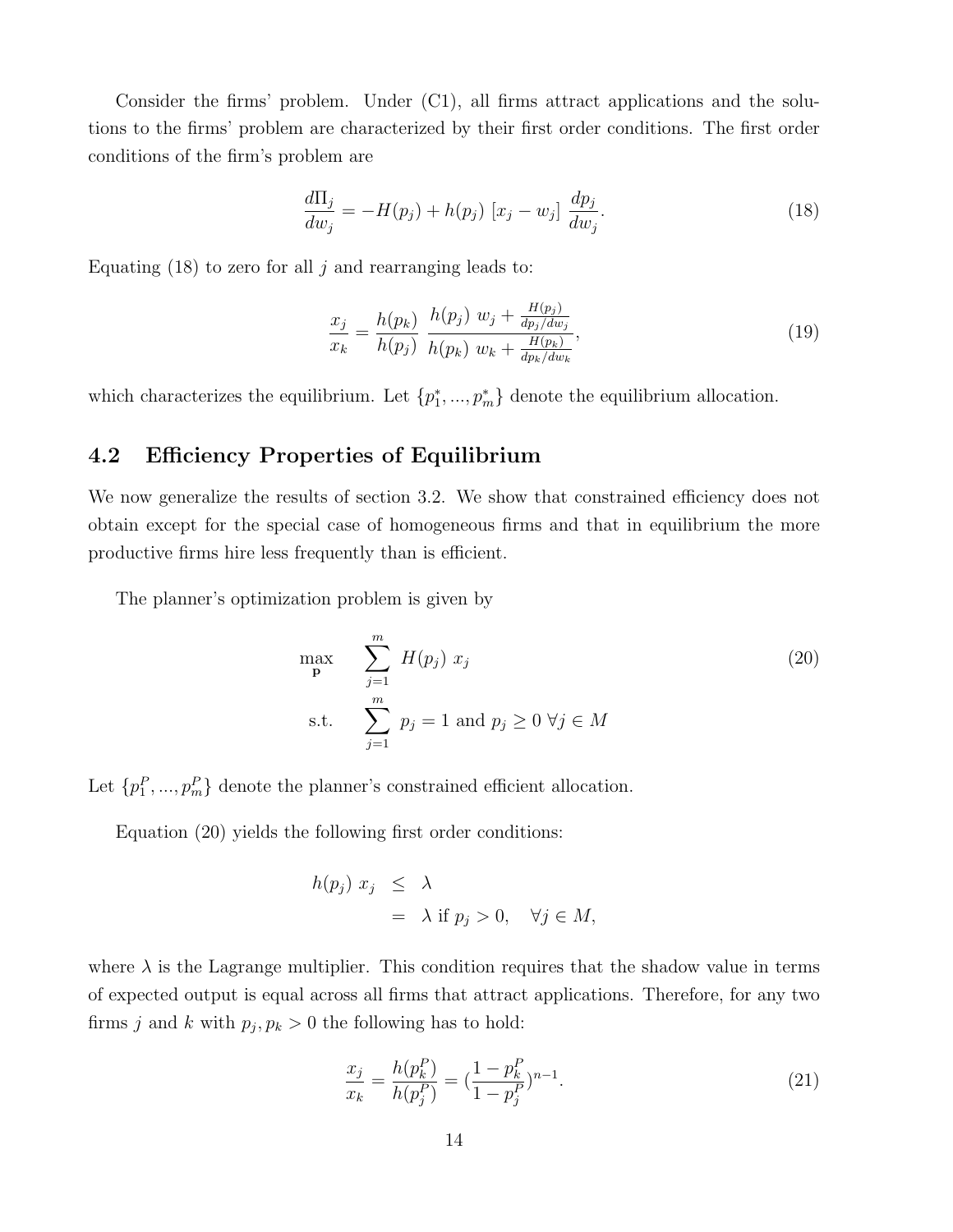Consider the firms' problem. Under (C1), all firms attract applications and the solutions to the firms' problem are characterized by their first order conditions. The first order conditions of the firm's problem are

$$
\frac{d\Pi_j}{dw_j} = -H(p_j) + h(p_j) [x_j - w_j] \frac{dp_j}{dw_j}.
$$
\n(18)

Equating  $(18)$  to zero for all j and rearranging leads to:

$$
\frac{x_j}{x_k} = \frac{h(p_k)}{h(p_j)} \frac{h(p_j) w_j + \frac{H(p_j)}{dp_j/dw_j}}{h(p_k) w_k + \frac{H(p_k)}{dp_k/dw_k}},
$$
\n(19)

which characterizes the equilibrium. Let  $\{p_1^*,..., p_m^*\}$  denote the equilibrium allocation.

### 4.2 Efficiency Properties of Equilibrium

We now generalize the results of section 3.2. We show that constrained efficiency does not obtain except for the special case of homogeneous firms and that in equilibrium the more productive firms hire less frequently than is efficient.

The planner's optimization problem is given by

$$
\max_{\mathbf{p}} \sum_{j=1}^{m} H(p_j) x_j
$$
\n
$$
\text{s.t.} \sum_{j=1}^{m} p_j = 1 \text{ and } p_j \ge 0 \ \forall j \in M
$$
\n(20)

Let  $\{p_1^P, ..., p_m^P\}$  denote the planner's constrained efficient allocation.

Equation (20) yields the following first order conditions:

$$
h(p_j) x_j \leq \lambda
$$
  
=  $\lambda$  if  $p_j > 0$ ,  $\forall j \in M$ ,

where  $\lambda$  is the Lagrange multiplier. This condition requires that the shadow value in terms of expected output is equal across all firms that attract applications. Therefore, for any two firms j and k with  $p_j, p_k > 0$  the following has to hold:

$$
\frac{x_j}{x_k} = \frac{h(p_k^P)}{h(p_j^P)} = \left(\frac{1 - p_k^P}{1 - p_j^P}\right)^{n-1}.\tag{21}
$$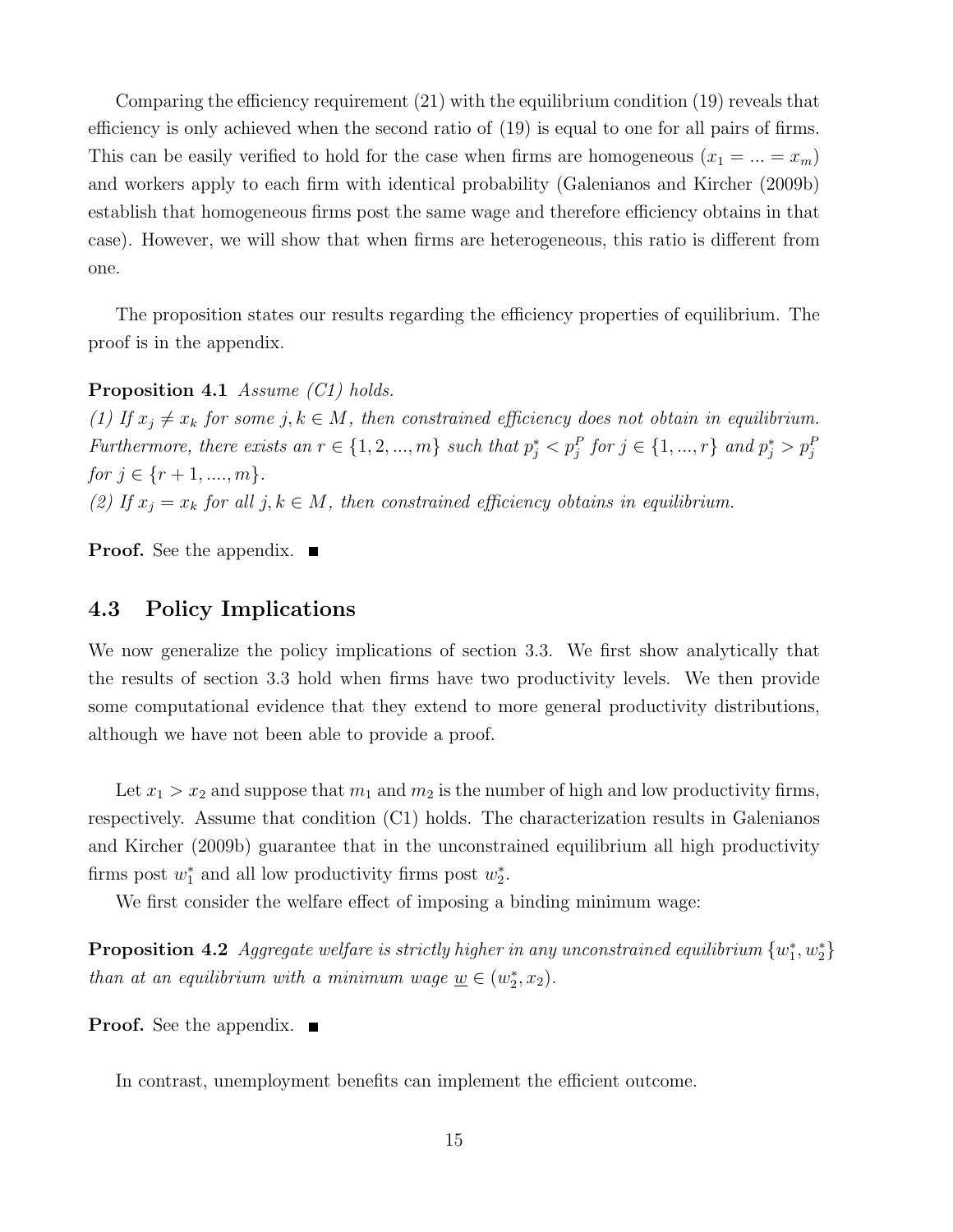Comparing the efficiency requirement (21) with the equilibrium condition (19) reveals that efficiency is only achieved when the second ratio of (19) is equal to one for all pairs of firms. This can be easily verified to hold for the case when firms are homogeneous  $(x_1 = ... = x_m)$ and workers apply to each firm with identical probability (Galenianos and Kircher (2009b) establish that homogeneous firms post the same wage and therefore efficiency obtains in that case). However, we will show that when firms are heterogeneous, this ratio is different from one.

The proposition states our results regarding the efficiency properties of equilibrium. The proof is in the appendix.

Proposition 4.1 Assume (C1) holds.

(1) If  $x_j \neq x_k$  for some j,  $k \in M$ , then constrained efficiency does not obtain in equilibrium. Furthermore, there exists an  $r \in \{1, 2, ..., m\}$  such that  $p_j^* < p_j^P$  for  $j \in \{1, ..., r\}$  and  $p_j^* > p_j^P$ for  $j \in \{r+1, ..., m\}$ . (2) If  $x_j = x_k$  for all  $j, k \in M$ , then constrained efficiency obtains in equilibrium.

**Proof.** See the appendix.  $\blacksquare$ 

### 4.3 Policy Implications

We now generalize the policy implications of section 3.3. We first show analytically that the results of section 3.3 hold when firms have two productivity levels. We then provide some computational evidence that they extend to more general productivity distributions, although we have not been able to provide a proof.

Let  $x_1 > x_2$  and suppose that  $m_1$  and  $m_2$  is the number of high and low productivity firms, respectively. Assume that condition (C1) holds. The characterization results in Galenianos and Kircher (2009b) guarantee that in the unconstrained equilibrium all high productivity firms post  $w_1^*$  and all low productivity firms post  $w_2^*$ .

We first consider the welfare effect of imposing a binding minimum wage:

**Proposition 4.2** Aggregate welfare is strictly higher in any unconstrained equilibrium  $\{w_1^*, w_2^*\}$ than at an equilibrium with a minimum wage  $\underline{w} \in (w_2^*, x_2)$ .

**Proof.** See the appendix. ■

In contrast, unemployment benefits can implement the efficient outcome.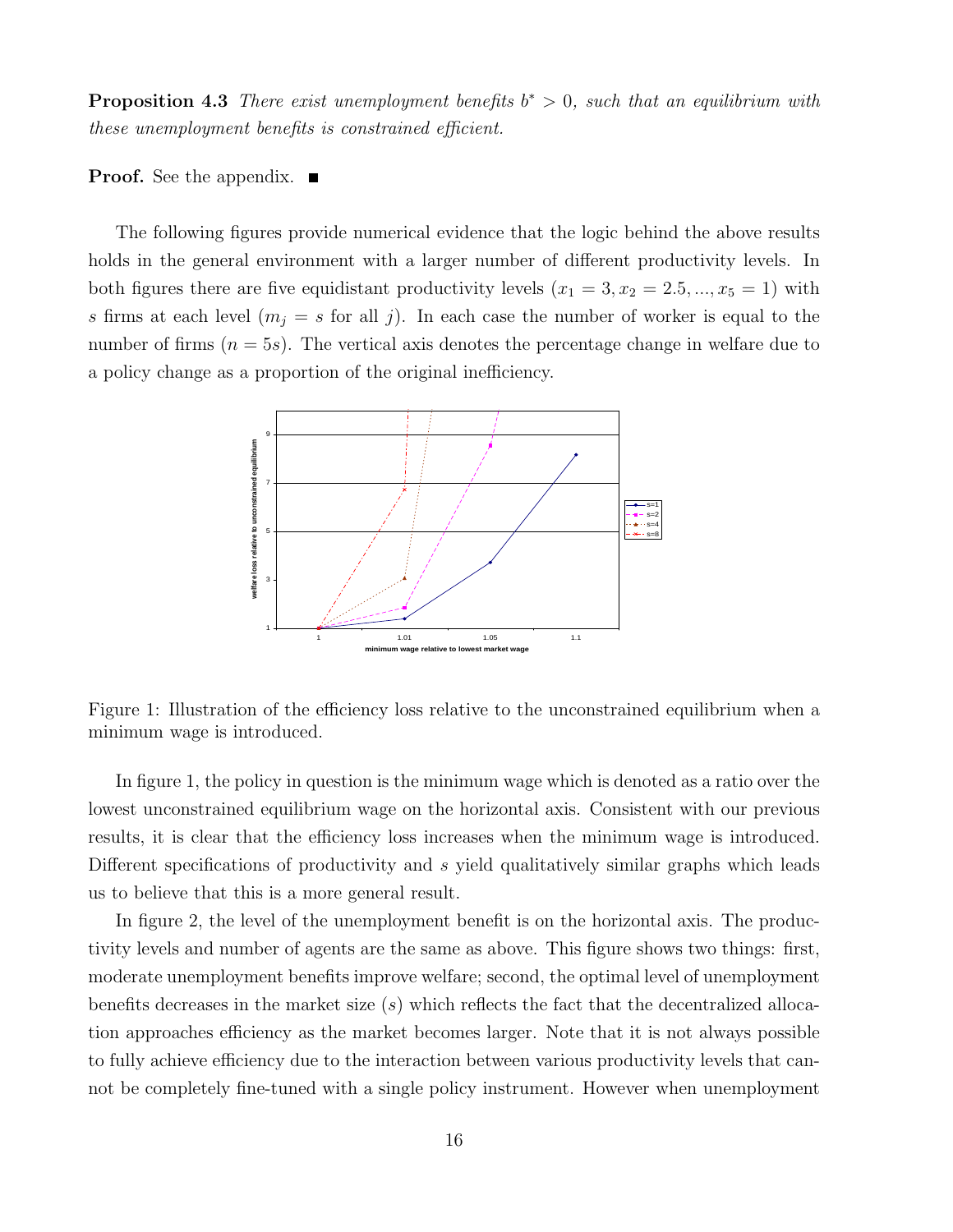**Proposition 4.3** There exist unemployment benefits  $b^* > 0$ , such that an equilibrium with these unemployment benefits is constrained efficient.

**Proof.** See the appendix.  $\blacksquare$ 

The following figures provide numerical evidence that the logic behind the above results holds in the general environment with a larger number of different productivity levels. In both figures there are five equidistant productivity levels  $(x_1 = 3, x_2 = 2.5, ..., x_5 = 1)$  with s firms at each level  $(m_j = s \text{ for all } j)$ . In each case the number of worker is equal to the number of firms  $(n = 5s)$ . The vertical axis denotes the percentage change in welfare due to a policy change as a proportion of the original inefficiency.



Figure 1: Illustration of the efficiency loss relative to the unconstrained equilibrium when a minimum wage is introduced.

In figure 1, the policy in question is the minimum wage which is denoted as a ratio over the lowest unconstrained equilibrium wage on the horizontal axis. Consistent with our previous results, it is clear that the efficiency loss increases when the minimum wage is introduced. Different specifications of productivity and s yield qualitatively similar graphs which leads us to believe that this is a more general result.

In figure 2, the level of the unemployment benefit is on the horizontal axis. The productivity levels and number of agents are the same as above. This figure shows two things: first, moderate unemployment benefits improve welfare; second, the optimal level of unemployment benefits decreases in the market size  $(s)$  which reflects the fact that the decentralized allocation approaches efficiency as the market becomes larger. Note that it is not always possible to fully achieve efficiency due to the interaction between various productivity levels that cannot be completely fine-tuned with a single policy instrument. However when unemployment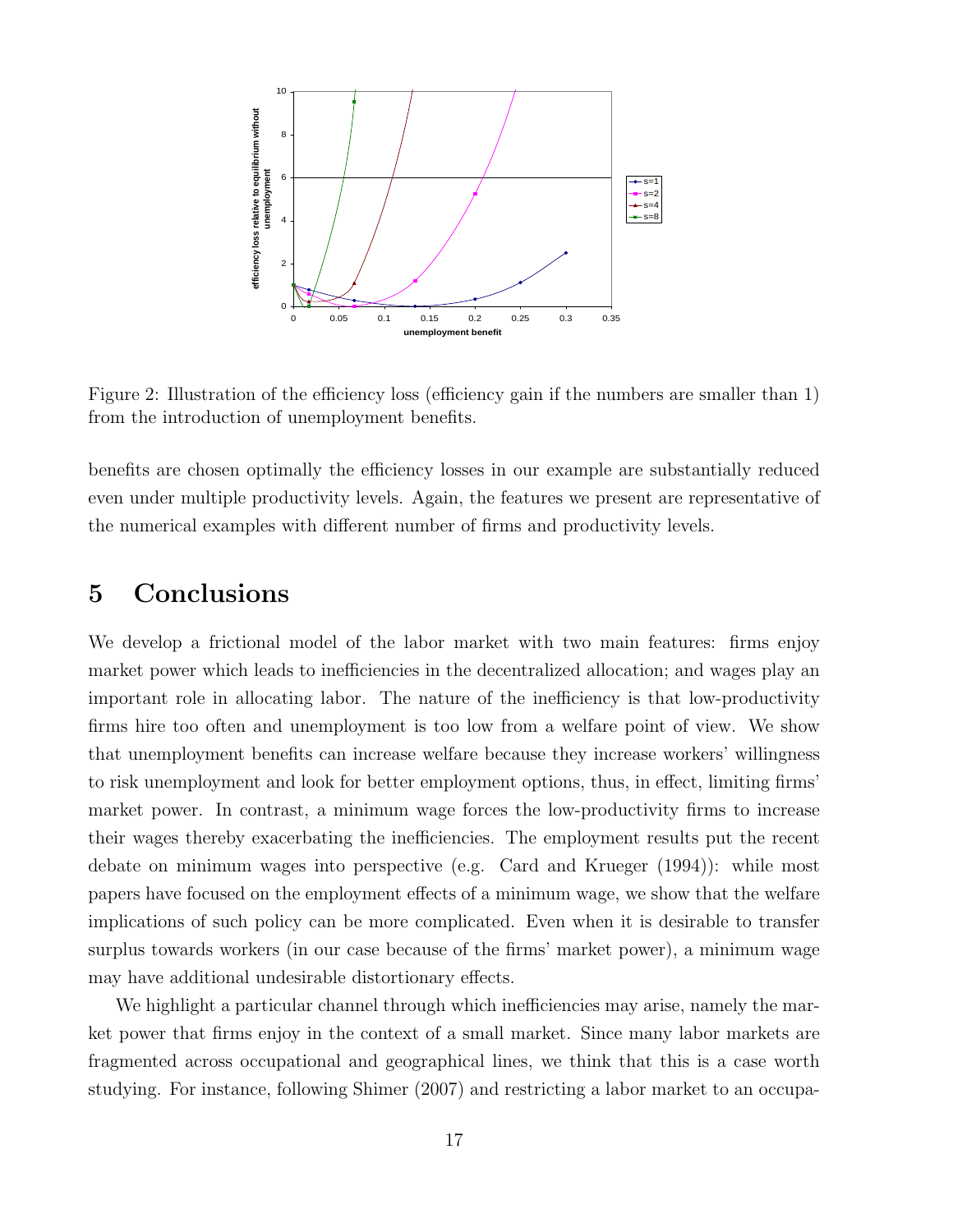

Figure 2: Illustration of the efficiency loss (efficiency gain if the numbers are smaller than 1) from the introduction of unemployment benefits.

benefits are chosen optimally the efficiency losses in our example are substantially reduced even under multiple productivity levels. Again, the features we present are representative of the numerical examples with different number of firms and productivity levels.

## 5 Conclusions

We develop a frictional model of the labor market with two main features: firms enjoy market power which leads to inefficiencies in the decentralized allocation; and wages play an important role in allocating labor. The nature of the inefficiency is that low-productivity firms hire too often and unemployment is too low from a welfare point of view. We show that unemployment benefits can increase welfare because they increase workers' willingness to risk unemployment and look for better employment options, thus, in effect, limiting firms' market power. In contrast, a minimum wage forces the low-productivity firms to increase their wages thereby exacerbating the inefficiencies. The employment results put the recent debate on minimum wages into perspective (e.g. Card and Krueger (1994)): while most papers have focused on the employment effects of a minimum wage, we show that the welfare implications of such policy can be more complicated. Even when it is desirable to transfer surplus towards workers (in our case because of the firms' market power), a minimum wage may have additional undesirable distortionary effects.

We highlight a particular channel through which inefficiencies may arise, namely the market power that firms enjoy in the context of a small market. Since many labor markets are fragmented across occupational and geographical lines, we think that this is a case worth studying. For instance, following Shimer (2007) and restricting a labor market to an occupa-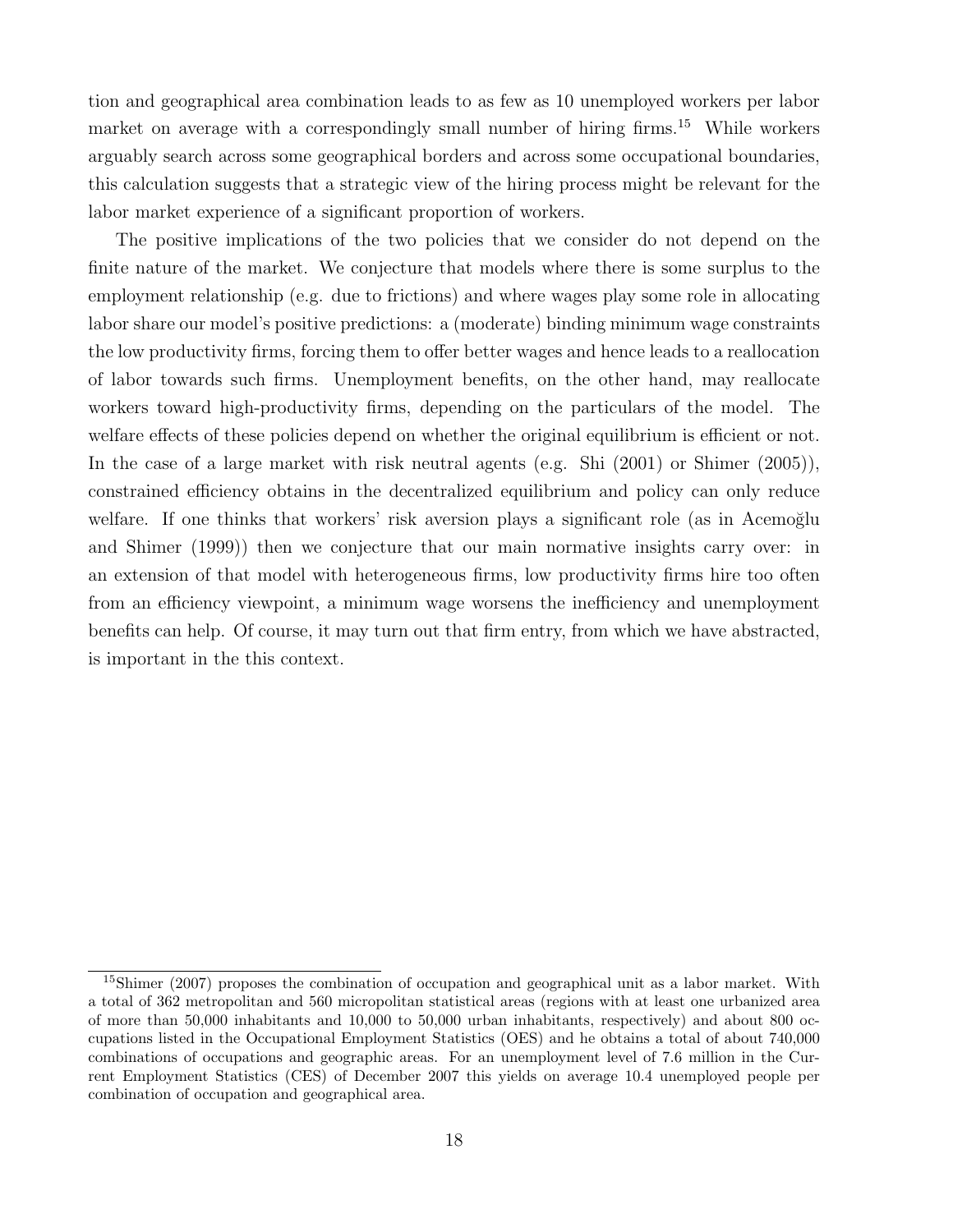tion and geographical area combination leads to as few as 10 unemployed workers per labor market on average with a correspondingly small number of hiring firms.<sup>15</sup> While workers arguably search across some geographical borders and across some occupational boundaries, this calculation suggests that a strategic view of the hiring process might be relevant for the labor market experience of a significant proportion of workers.

The positive implications of the two policies that we consider do not depend on the finite nature of the market. We conjecture that models where there is some surplus to the employment relationship (e.g. due to frictions) and where wages play some role in allocating labor share our model's positive predictions: a (moderate) binding minimum wage constraints the low productivity firms, forcing them to offer better wages and hence leads to a reallocation of labor towards such firms. Unemployment benefits, on the other hand, may reallocate workers toward high-productivity firms, depending on the particulars of the model. The welfare effects of these policies depend on whether the original equilibrium is efficient or not. In the case of a large market with risk neutral agents (e.g. Shi (2001) or Shimer (2005)), constrained efficiency obtains in the decentralized equilibrium and policy can only reduce welfare. If one thinks that workers' risk aversion plays a significant role (as in Acemoğlu and Shimer (1999)) then we conjecture that our main normative insights carry over: in an extension of that model with heterogeneous firms, low productivity firms hire too often from an efficiency viewpoint, a minimum wage worsens the inefficiency and unemployment benefits can help. Of course, it may turn out that firm entry, from which we have abstracted, is important in the this context.

<sup>&</sup>lt;sup>15</sup>Shimer (2007) proposes the combination of occupation and geographical unit as a labor market. With a total of 362 metropolitan and 560 micropolitan statistical areas (regions with at least one urbanized area of more than 50,000 inhabitants and 10,000 to 50,000 urban inhabitants, respectively) and about 800 occupations listed in the Occupational Employment Statistics (OES) and he obtains a total of about 740,000 combinations of occupations and geographic areas. For an unemployment level of 7.6 million in the Current Employment Statistics (CES) of December 2007 this yields on average 10.4 unemployed people per combination of occupation and geographical area.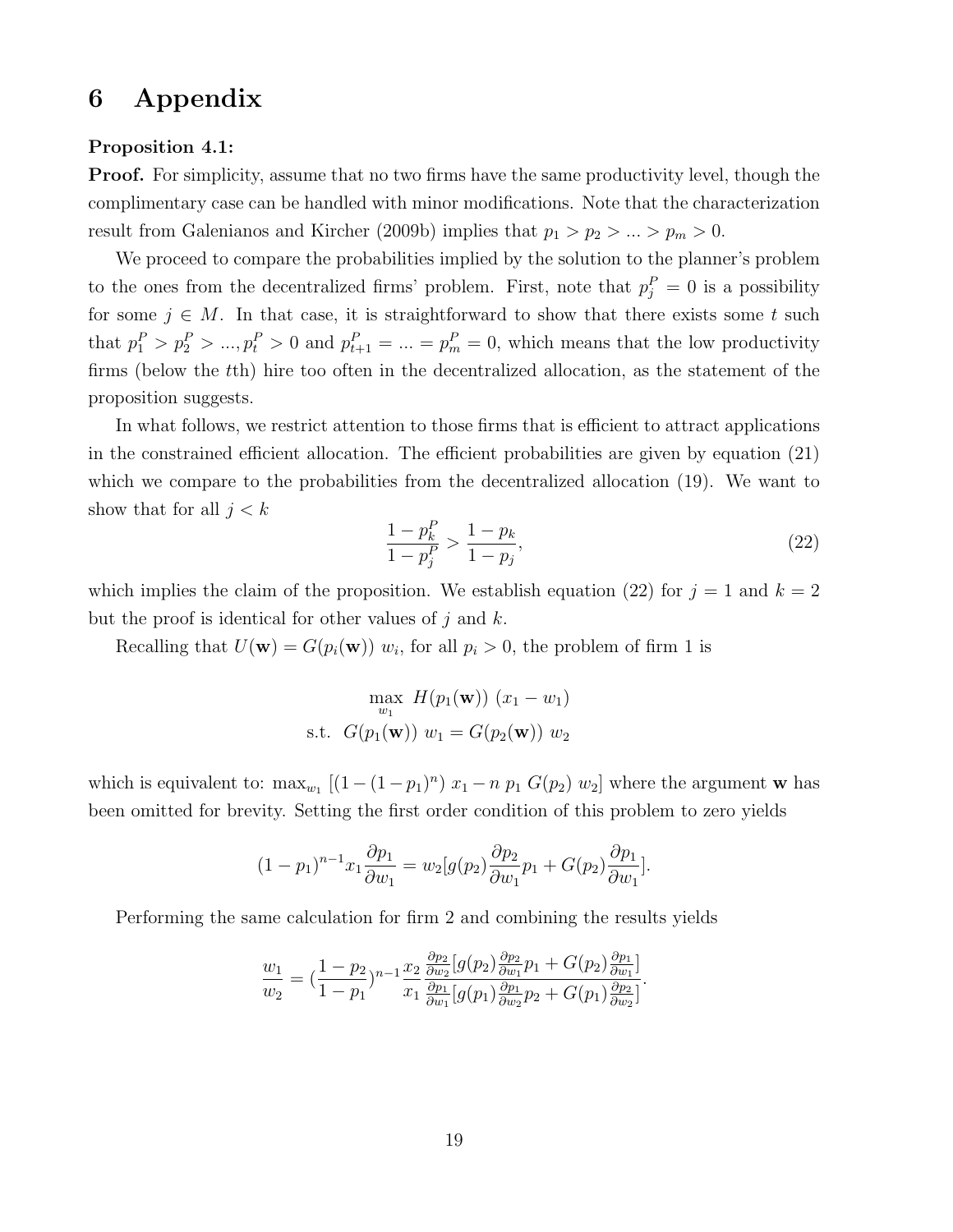# 6 Appendix

#### Proposition 4.1:

**Proof.** For simplicity, assume that no two firms have the same productivity level, though the complimentary case can be handled with minor modifications. Note that the characterization result from Galenianos and Kircher (2009b) implies that  $p_1 > p_2 > ... > p_m > 0$ .

We proceed to compare the probabilities implied by the solution to the planner's problem to the ones from the decentralized firms' problem. First, note that  $p_j^P = 0$  is a possibility for some  $j \in M$ . In that case, it is straightforward to show that there exists some t such that  $p_1^P > p_2^P > ..., p_t^P > 0$  and  $p_{t+1}^P = ... = p_m^P = 0$ , which means that the low productivity firms (below the tth) hire too often in the decentralized allocation, as the statement of the proposition suggests.

In what follows, we restrict attention to those firms that is efficient to attract applications in the constrained efficient allocation. The efficient probabilities are given by equation (21) which we compare to the probabilities from the decentralized allocation  $(19)$ . We want to show that for all  $j < k$ 

$$
\frac{1-p_k^P}{1-p_j^P} > \frac{1-p_k}{1-p_j},\tag{22}
$$

which implies the claim of the proposition. We establish equation (22) for  $j = 1$  and  $k = 2$ but the proof is identical for other values of  $j$  and  $k$ .

Recalling that  $U(\mathbf{w}) = G(p_i(\mathbf{w})) w_i$ , for all  $p_i > 0$ , the problem of firm 1 is

$$
\max_{w_1} H(p_1(\mathbf{w})) (x_1 - w_1)
$$
  
s.t.  $G(p_1(\mathbf{w})) w_1 = G(p_2(\mathbf{w})) w_2$ 

which is equivalent to:  $\max_{w_1} [(1-(1-p_1)^n)x_1 - n p_1 G(p_2) w_2]$  where the argument w has been omitted for brevity. Setting the first order condition of this problem to zero yields

$$
(1-p_1)^{n-1}x_1\frac{\partial p_1}{\partial w_1} = w_2[g(p_2)\frac{\partial p_2}{\partial w_1}p_1 + G(p_2)\frac{\partial p_1}{\partial w_1}].
$$

Performing the same calculation for firm 2 and combining the results yields

$$
\frac{w_1}{w_2} = \left(\frac{1-p_2}{1-p_1}\right)^{n-1} \frac{x_2}{x_1} \frac{\frac{\partial p_2}{\partial w_2} [g(p_2) \frac{\partial p_2}{\partial w_1} p_1 + G(p_2) \frac{\partial p_1}{\partial w_1}]}{\frac{\partial p_1}{\partial w_1} [g(p_1) \frac{\partial p_1}{\partial w_2} p_2 + G(p_1) \frac{\partial p_2}{\partial w_2}]}.
$$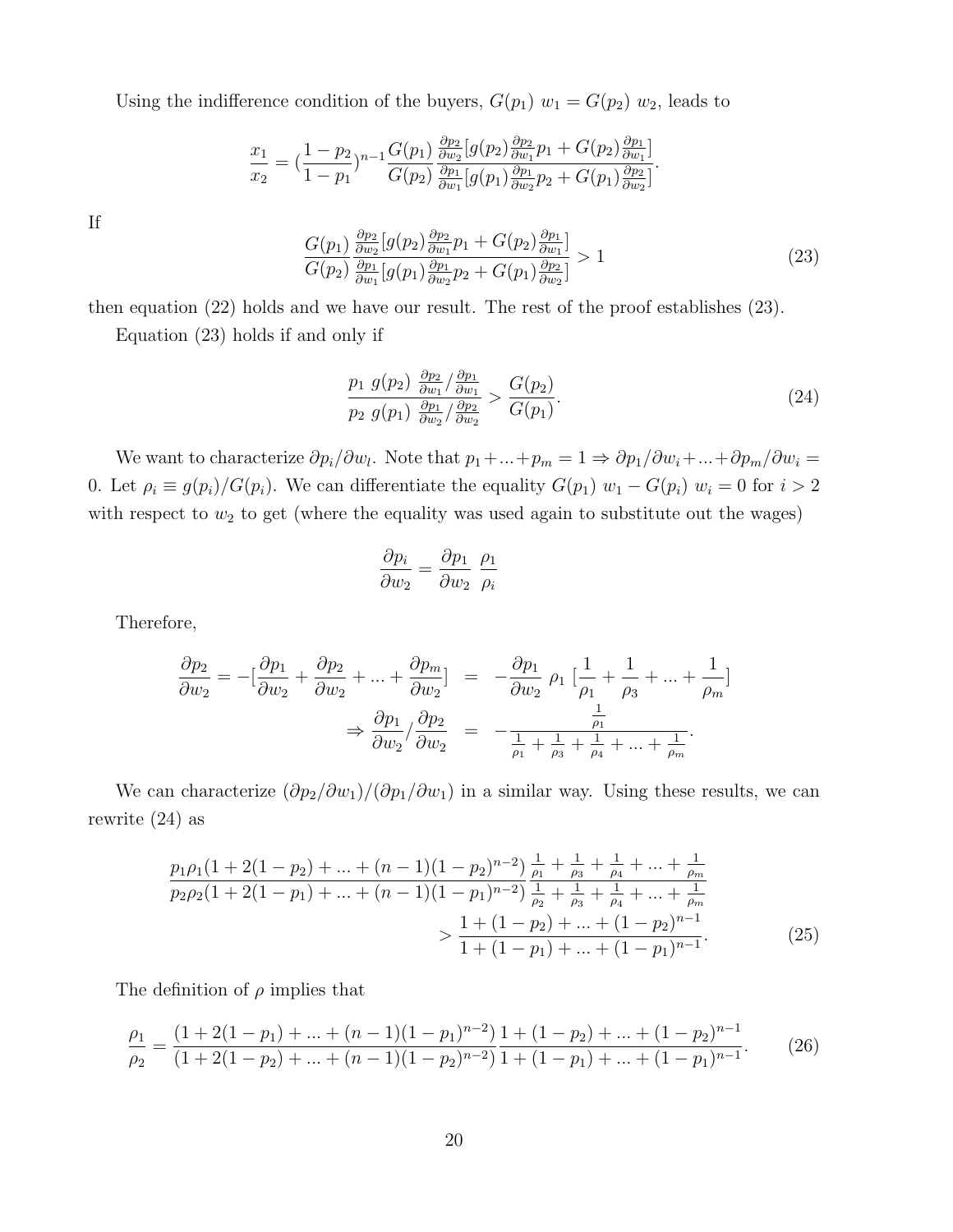Using the indifference condition of the buyers,  $G(p_1)$   $w_1 = G(p_2)$   $w_2$ , leads to

$$
\frac{x_1}{x_2} = \left(\frac{1-p_2}{1-p_1}\right)^{n-1} \frac{G(p_1)}{G(p_2)} \frac{\frac{\partial p_2}{\partial w_2} [g(p_2) \frac{\partial p_2}{\partial w_1} p_1 + G(p_2) \frac{\partial p_1}{\partial w_1}]}{\frac{\partial p_1}{\partial w_1} [g(p_1) \frac{\partial p_1}{\partial w_2} p_2 + G(p_1) \frac{\partial p_2}{\partial w_2}]}.
$$

If

$$
\frac{G(p_1)}{G(p_2)} \frac{\frac{\partial p_2}{\partial w_2} [g(p_2) \frac{\partial p_2}{\partial w_1} p_1 + G(p_2) \frac{\partial p_1}{\partial w_1}]}{\frac{\partial p_1}{\partial w_1} [g(p_1) \frac{\partial p_1}{\partial w_2} p_2 + G(p_1) \frac{\partial p_2}{\partial w_2}]} > 1
$$
\n(23)

then equation (22) holds and we have our result. The rest of the proof establishes (23).

Equation (23) holds if and only if

$$
\frac{p_1\ g(p_2)\ \frac{\partial p_2}{\partial w_1}/\frac{\partial p_1}{\partial w_1}}{p_2\ g(p_1)\ \frac{\partial p_1}{\partial w_2}/\frac{\partial p_2}{\partial w_2}} > \frac{G(p_2)}{G(p_1)}.
$$
\n
$$
(24)
$$

We want to characterize  $\partial p_i/\partial w_i$ . Note that  $p_1 + ... + p_m = 1 \Rightarrow \partial p_1/\partial w_i + ... + \partial p_m/\partial w_i =$ 0. Let  $\rho_i \equiv g(p_i)/G(p_i)$ . We can differentiate the equality  $G(p_1)$   $w_1 - G(p_i)$   $w_i = 0$  for  $i > 2$ with respect to  $w_2$  to get (where the equality was used again to substitute out the wages)

$$
\frac{\partial p_i}{\partial w_2} = \frac{\partial p_1}{\partial w_2} \frac{\rho_1}{\rho_i}
$$

Therefore,

$$
\frac{\partial p_2}{\partial w_2} = -\left[\frac{\partial p_1}{\partial w_2} + \frac{\partial p_2}{\partial w_2} + \dots + \frac{\partial p_m}{\partial w_2}\right] = -\frac{\partial p_1}{\partial w_2} \rho_1 \left[\frac{1}{\rho_1} + \frac{1}{\rho_3} + \dots + \frac{1}{\rho_m}\right]
$$

$$
\Rightarrow \frac{\partial p_1}{\partial w_2} / \frac{\partial p_2}{\partial w_2} = -\frac{\frac{1}{\rho_1}}{\frac{1}{\rho_1} + \frac{1}{\rho_3} + \frac{1}{\rho_4} + \dots + \frac{1}{\rho_m}}.
$$

We can characterize  $(\partial p_2/\partial w_1)/(\partial p_1/\partial w_1)$  in a similar way. Using these results, we can rewrite (24) as

$$
\frac{p_1 \rho_1 (1 + 2(1 - p_2) + \dots + (n - 1)(1 - p_2)^{n - 2})}{p_2 \rho_2 (1 + 2(1 - p_1) + \dots + (n - 1)(1 - p_1)^{n - 2})} \frac{\frac{1}{\rho_1} + \frac{1}{\rho_3} + \frac{1}{\rho_4} + \dots + \frac{1}{\rho_m}}{\frac{1}{\rho_2} + \frac{1}{\rho_3} + \frac{1}{\rho_4} + \dots + \frac{1}{\rho_m}} \\
> \frac{1 + (1 - p_2) + \dots + (1 - p_2)^{n - 1}}{1 + (1 - p_1) + \dots + (1 - p_1)^{n - 1}}.
$$
\n(25)

The definition of  $\rho$  implies that

$$
\frac{\rho_1}{\rho_2} = \frac{(1+2(1-p_1)+\ldots+(n-1)(1-p_1)^{n-2})}{(1+2(1-p_2)+\ldots+(n-1)(1-p_2)^{n-2})} \frac{1+(1-p_2)+\ldots+(1-p_2)^{n-1}}{1+(1-p_1)+\ldots+(1-p_1)^{n-1}}.
$$
(26)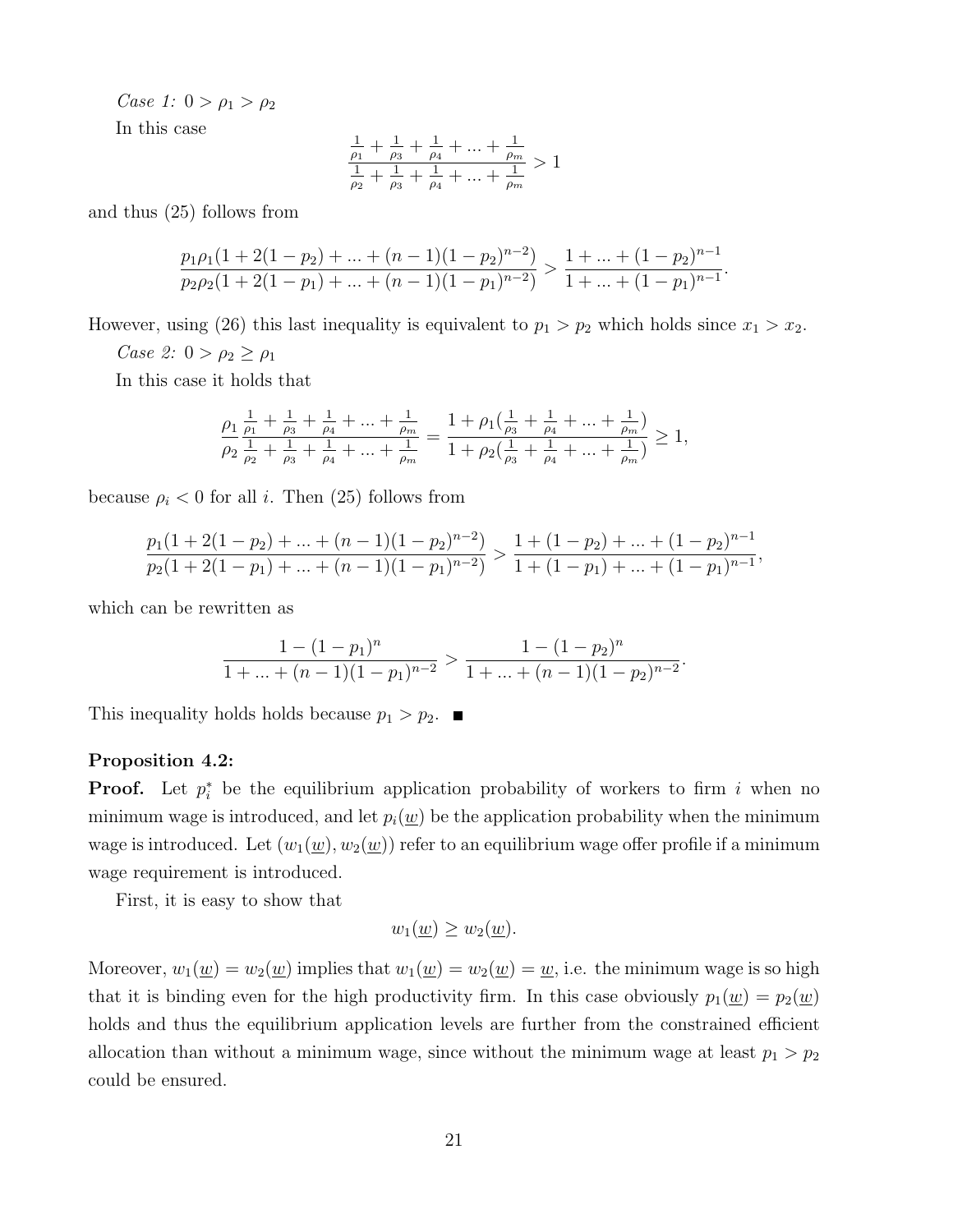Case 1:  $0 > \rho_1 > \rho_2$ 

In this case

$$
\frac{\frac{1}{\rho_1} + \frac{1}{\rho_3} + \frac{1}{\rho_4} + \dots + \frac{1}{\rho_m}}{\frac{1}{\rho_2} + \frac{1}{\rho_3} + \frac{1}{\rho_4} + \dots + \frac{1}{\rho_m}} > 1
$$

and thus (25) follows from

$$
\frac{p_1\rho_1(1+2(1-p_2)+\ldots+(n-1)(1-p_2)^{n-2})}{p_2\rho_2(1+2(1-p_1)+\ldots+(n-1)(1-p_1)^{n-2})} > \frac{1+\ldots+(1-p_2)^{n-1}}{1+\ldots+(1-p_1)^{n-1}}.
$$

However, using (26) this last inequality is equivalent to  $p_1 > p_2$  which holds since  $x_1 > x_2$ .

Case 2:  $0 > \rho_2 \ge \rho_1$ 

In this case it holds that

$$
\frac{\rho_1}{\rho_2} \frac{\frac{1}{\rho_1} + \frac{1}{\rho_3} + \frac{1}{\rho_4} + \dots + \frac{1}{\rho_m}}{\rho_2 \frac{1}{\rho_2} + \frac{1}{\rho_3} + \frac{1}{\rho_4} + \dots + \frac{1}{\rho_m}} = \frac{1 + \rho_1(\frac{1}{\rho_3} + \frac{1}{\rho_4} + \dots + \frac{1}{\rho_m})}{1 + \rho_2(\frac{1}{\rho_3} + \frac{1}{\rho_4} + \dots + \frac{1}{\rho_m})} \ge 1,
$$

because  $\rho_i < 0$  for all i. Then (25) follows from

$$
\frac{p_1(1+2(1-p_2)+\ldots+(n-1)(1-p_2)^{n-2})}{p_2(1+2(1-p_1)+\ldots+(n-1)(1-p_1)^{n-2})} > \frac{1+(1-p_2)+\ldots+(1-p_2)^{n-1}}{1+(1-p_1)+\ldots+(1-p_1)^{n-1}},
$$

which can be rewritten as

$$
\frac{1-(1-p_1)^n}{1+\ldots+(n-1)(1-p_1)^{n-2}} > \frac{1-(1-p_2)^n}{1+\ldots+(n-1)(1-p_2)^{n-2}}.
$$

This inequality holds holds because  $p_1 > p_2$ .

#### Proposition 4.2:

**Proof.** Let  $p_i^*$  be the equilibrium application probability of workers to firm i when no minimum wage is introduced, and let  $p_i(\underline{w})$  be the application probability when the minimum wage is introduced. Let  $(w_1(\underline{w}), w_2(\underline{w}))$  refer to an equilibrium wage offer profile if a minimum wage requirement is introduced.

First, it is easy to show that

$$
w_1(\underline{w}) \ge w_2(\underline{w}).
$$

Moreover,  $w_1(\underline{w}) = w_2(\underline{w})$  implies that  $w_1(\underline{w}) = w_2(\underline{w}) = \underline{w}$ , i.e. the minimum wage is so high that it is binding even for the high productivity firm. In this case obviously  $p_1(\underline{w}) = p_2(\underline{w})$ holds and thus the equilibrium application levels are further from the constrained efficient allocation than without a minimum wage, since without the minimum wage at least  $p_1 > p_2$ could be ensured.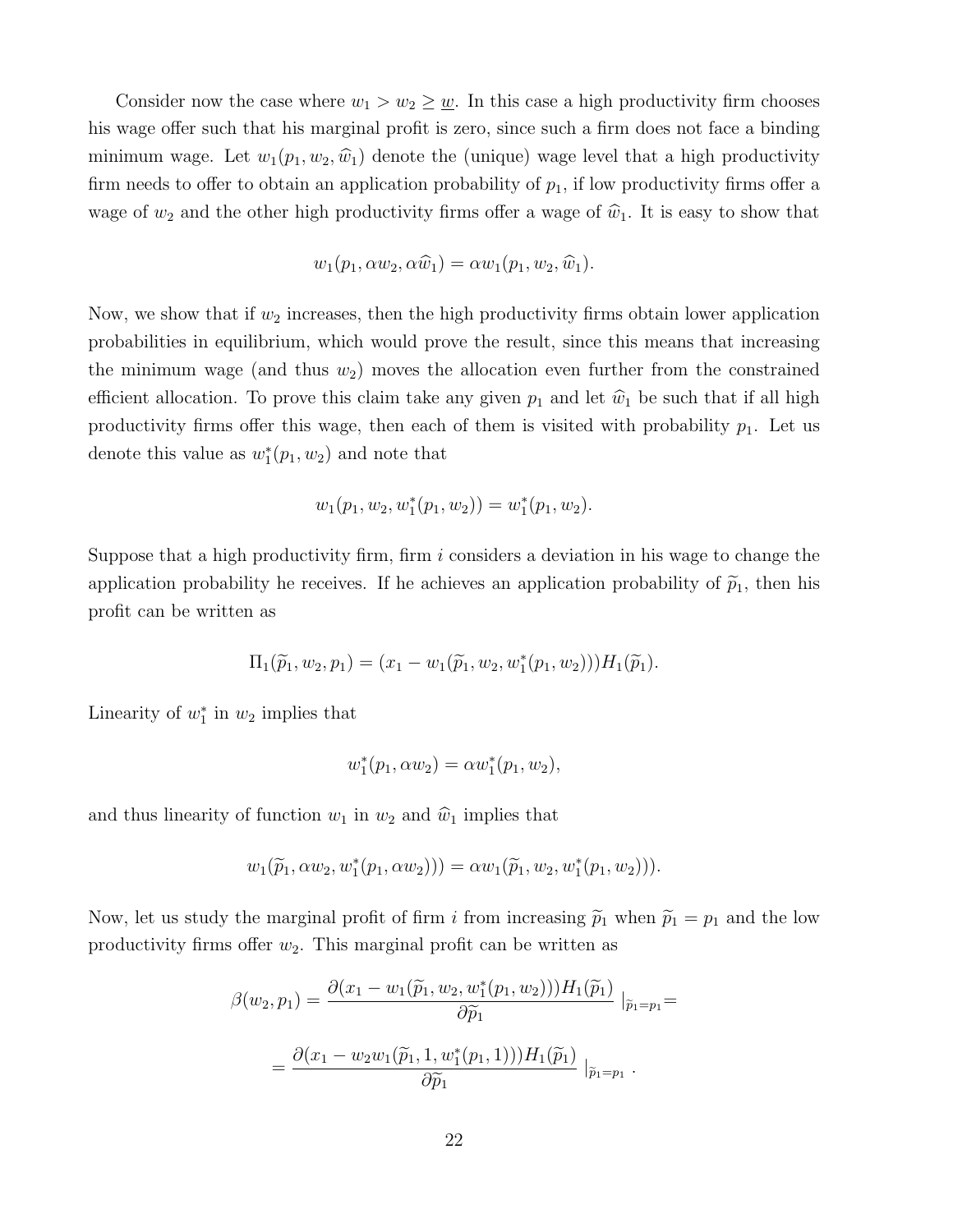Consider now the case where  $w_1 > w_2 \geq \underline{w}$ . In this case a high productivity firm chooses his wage offer such that his marginal profit is zero, since such a firm does not face a binding minimum wage. Let  $w_1(p_1, w_2, \hat{w}_1)$  denote the (unique) wage level that a high productivity firm needs to offer to obtain an application probability of  $p_1$ , if low productivity firms offer a wage of  $w_2$  and the other high productivity firms offer a wage of  $\hat{w}_1$ . It is easy to show that

$$
w_1(p_1, \alpha w_2, \alpha \widehat{w}_1) = \alpha w_1(p_1, w_2, \widehat{w}_1).
$$

Now, we show that if  $w_2$  increases, then the high productivity firms obtain lower application probabilities in equilibrium, which would prove the result, since this means that increasing the minimum wage (and thus  $w_2$ ) moves the allocation even further from the constrained efficient allocation. To prove this claim take any given  $p_1$  and let  $\hat{w}_1$  be such that if all high productivity firms offer this wage, then each of them is visited with probability  $p_1$ . Let us denote this value as  $w_1^*(p_1, w_2)$  and note that

$$
w_1(p_1, w_2, w_1^*(p_1, w_2)) = w_1^*(p_1, w_2).
$$

Suppose that a high productivity firm, firm  $i$  considers a deviation in his wage to change the application probability he receives. If he achieves an application probability of  $\tilde{p}_1$ , then his profit can be written as

$$
\Pi_1(\widetilde{p}_1, w_2, p_1) = (x_1 - w_1(\widetilde{p}_1, w_2, w_1^*(p_1, w_2)))H_1(\widetilde{p}_1).
$$

Linearity of  $w_1^*$  in  $w_2$  implies that

$$
w_1^*(p_1, \alpha w_2) = \alpha w_1^*(p_1, w_2),
$$

and thus linearity of function  $w_1$  in  $w_2$  and  $\hat{w}_1$  implies that

$$
w_1(\widetilde{p}_1, \alpha w_2, w_1^*(p_1, \alpha w_2))) = \alpha w_1(\widetilde{p}_1, w_2, w_1^*(p_1, w_2))).
$$

Now, let us study the marginal profit of firm i from increasing  $\tilde{p}_1$  when  $\tilde{p}_1 = p_1$  and the low productivity firms offer  $w_2$ . This marginal profit can be written as

$$
\beta(w_2, p_1) = \frac{\partial (x_1 - w_1(\widetilde{p}_1, w_2, w_1^*(p_1, w_2))) H_1(\widetilde{p}_1)}{\partial \widetilde{p}_1} |_{\widetilde{p}_1 = p_1} =
$$
  
= 
$$
\frac{\partial (x_1 - w_2 w_1(\widetilde{p}_1, 1, w_1^*(p_1, 1))) H_1(\widetilde{p}_1)}{\partial \widetilde{p}_1} |_{\widetilde{p}_1 = p_1}.
$$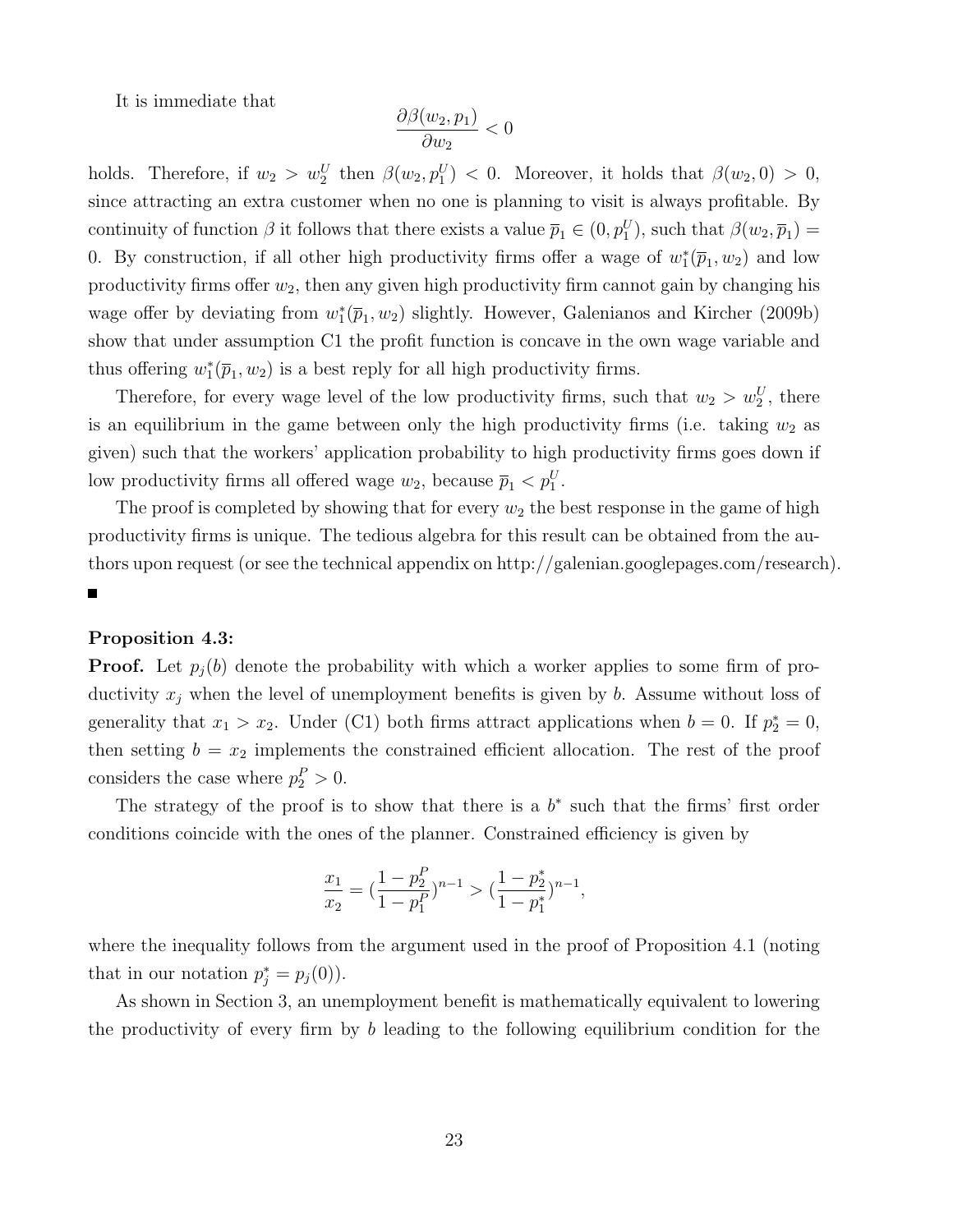It is immediate that

$$
\frac{\partial \beta(w_2, p_1)}{\partial w_2} < 0
$$

holds. Therefore, if  $w_2 > w_2^U$  then  $\beta(w_2, p_1^U) < 0$ . Moreover, it holds that  $\beta(w_2, 0) > 0$ , since attracting an extra customer when no one is planning to visit is always profitable. By continuity of function  $\beta$  it follows that there exists a value  $\overline{p}_1 \in (0, p_1^U)$ , such that  $\beta(w_2, \overline{p}_1) =$ 0. By construction, if all other high productivity firms offer a wage of  $w_1^*(\bar{p}_1, w_2)$  and low productivity firms offer  $w_2$ , then any given high productivity firm cannot gain by changing his wage offer by deviating from  $w_1^*(\bar{p}_1, w_2)$  slightly. However, Galenianos and Kircher (2009b) show that under assumption C1 the profit function is concave in the own wage variable and thus offering  $w_1^*(\bar{p}_1, w_2)$  is a best reply for all high productivity firms.

Therefore, for every wage level of the low productivity firms, such that  $w_2 > w_2^U$ , there is an equilibrium in the game between only the high productivity firms (i.e. taking  $w_2$  as given) such that the workers' application probability to high productivity firms goes down if low productivity firms all offered wage  $w_2$ , because  $\overline{p}_1 < p_1^U$ .

The proof is completed by showing that for every  $w_2$  the best response in the game of high productivity firms is unique. The tedious algebra for this result can be obtained from the authors upon request (or see the technical appendix on http://galenian.googlepages.com/research).  $\blacksquare$ 

#### Proposition 4.3:

**Proof.** Let  $p_i(b)$  denote the probability with which a worker applies to some firm of productivity  $x_j$  when the level of unemployment benefits is given by b. Assume without loss of generality that  $x_1 > x_2$ . Under (C1) both firms attract applications when  $b = 0$ . If  $p_2^* = 0$ , then setting  $b = x_2$  implements the constrained efficient allocation. The rest of the proof considers the case where  $p_2^P > 0$ .

The strategy of the proof is to show that there is a  $b^*$  such that the firms' first order conditions coincide with the ones of the planner. Constrained efficiency is given by

$$
\frac{x_1}{x_2}=(\frac{1-p_2^P}{1-p_1^P})^{n-1}>(\frac{1-p_2^*}{1-p_1^*})^{n-1},
$$

where the inequality follows from the argument used in the proof of Proposition 4.1 (noting that in our notation  $p_j^* = p_j(0)$ .

As shown in Section 3, an unemployment benefit is mathematically equivalent to lowering the productivity of every firm by b leading to the following equilibrium condition for the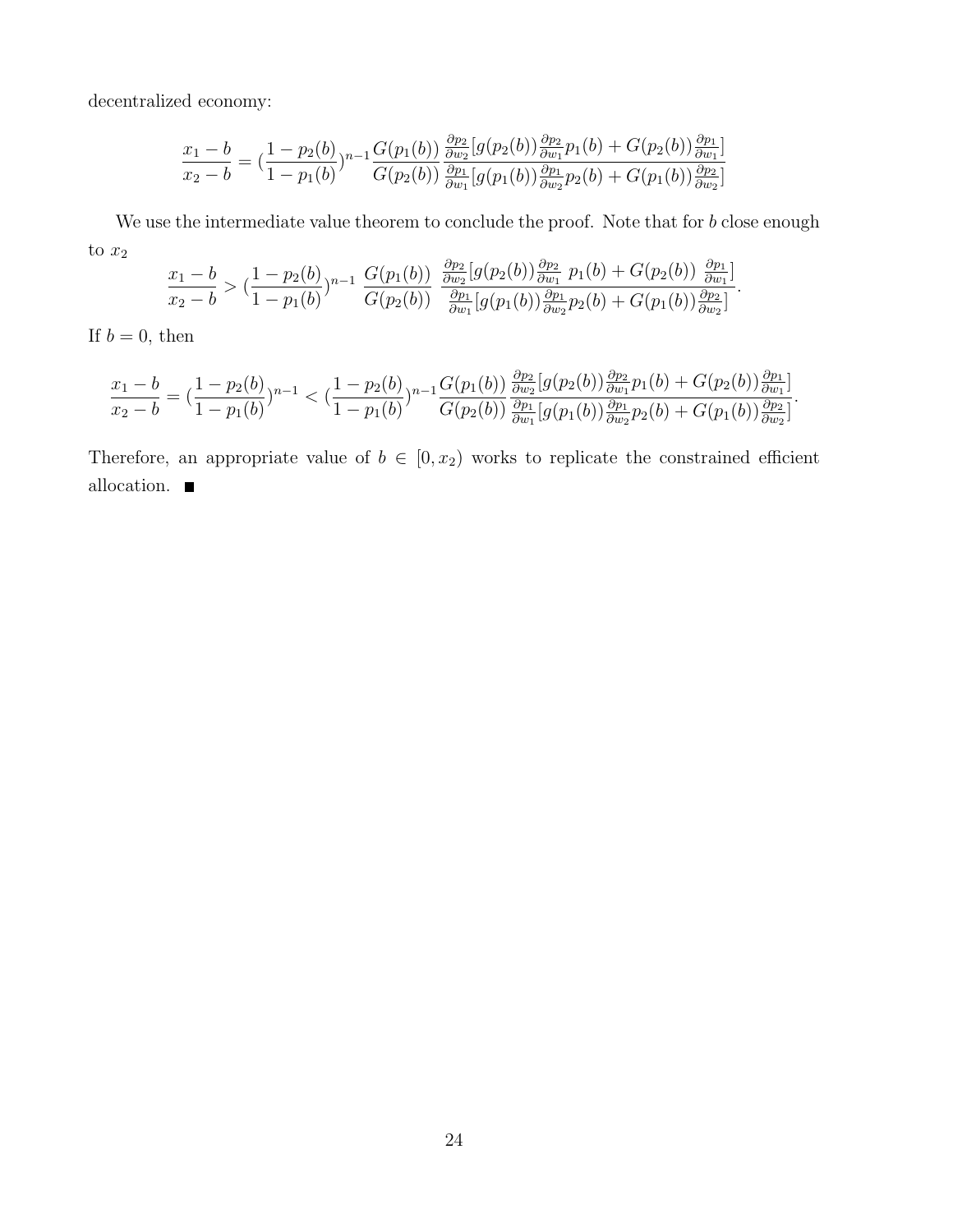decentralized economy:

$$
\frac{x_1 - b}{x_2 - b} = \left(\frac{1 - p_2(b)}{1 - p_1(b)}\right)^{n-1} \frac{G(p_1(b))}{G(p_2(b))} \frac{\frac{\partial p_2}{\partial w_2} [g(p_2(b)) \frac{\partial p_2}{\partial w_1} p_1(b) + G(p_2(b)) \frac{\partial p_1}{\partial w_1}]}{\frac{\partial p_1}{\partial w_1} [g(p_1(b)) \frac{\partial p_1}{\partial w_2} p_2(b) + G(p_1(b)) \frac{\partial p_2}{\partial w_2}]}.
$$

We use the intermediate value theorem to conclude the proof. Note that for b close enough to  $x_2$  $\partial$ 

$$
\frac{x_1 - b}{x_2 - b} > (\frac{1 - p_2(b)}{1 - p_1(b)})^{n-1} \frac{G(p_1(b))}{G(p_2(b))} \frac{\frac{\partial p_2}{\partial w_2} [g(p_2(b)) \frac{\partial p_2}{\partial w_1} p_1(b) + G(p_2(b)) \frac{\partial p_1}{\partial w_1}]}{\frac{\partial p_1}{\partial w_1} [g(p_1(b)) \frac{\partial p_1}{\partial w_2} p_2(b) + G(p_1(b)) \frac{\partial p_2}{\partial w_2}]}.
$$

If  $b = 0$ , then

$$
\frac{x_1 - b}{x_2 - b} = \left(\frac{1 - p_2(b)}{1 - p_1(b)}\right)^{n-1} < \left(\frac{1 - p_2(b)}{1 - p_1(b)}\right)^{n-1} \frac{G(p_1(b))}{G(p_2(b))} \frac{\frac{\partial p_2}{\partial w_2} [g(p_2(b)) \frac{\partial p_2}{\partial w_1} p_1(b) + G(p_2(b)) \frac{\partial p_1}{\partial w_1}]}{\frac{\partial p_1}{\partial w_1} [g(p_1(b)) \frac{\partial p_1}{\partial w_2} p_2(b) + G(p_1(b)) \frac{\partial p_2}{\partial w_2}]}.
$$

Therefore, an appropriate value of  $b \in [0, x_2)$  works to replicate the constrained efficient allocation.  $\blacksquare$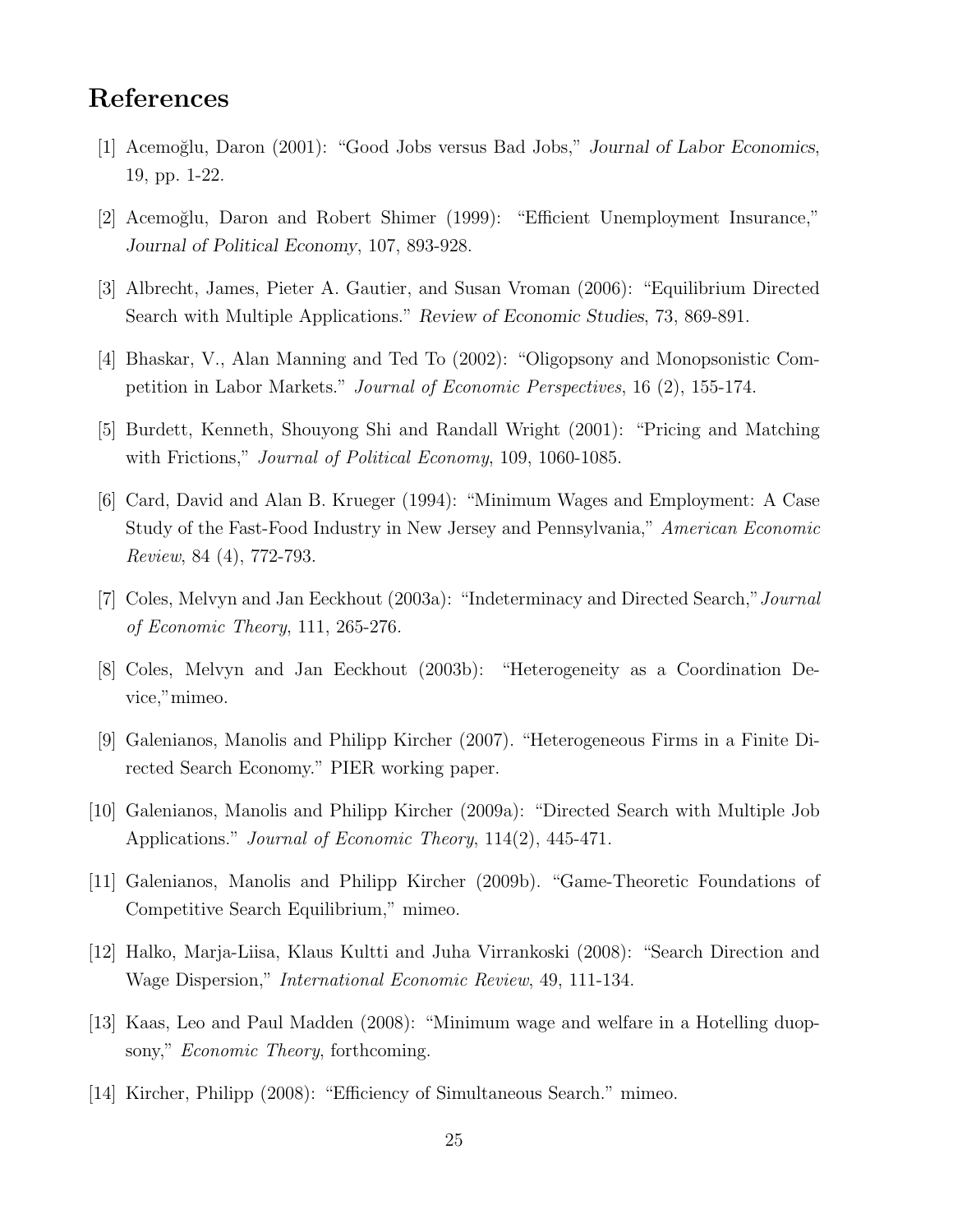# References

- [1] Acemo˘glu, Daron (2001): "Good Jobs versus Bad Jobs," Journal of Labor Economics, 19, pp. 1-22.
- [2] Acemo˘glu, Daron and Robert Shimer (1999): "Efficient Unemployment Insurance," Journal of Political Economy, 107, 893-928.
- [3] Albrecht, James, Pieter A. Gautier, and Susan Vroman (2006): "Equilibrium Directed Search with Multiple Applications." Review of Economic Studies, 73, 869-891.
- [4] Bhaskar, V., Alan Manning and Ted To (2002): "Oligopsony and Monopsonistic Competition in Labor Markets." Journal of Economic Perspectives, 16 (2), 155-174.
- [5] Burdett, Kenneth, Shouyong Shi and Randall Wright (2001): "Pricing and Matching with Frictions," Journal of Political Economy, 109, 1060-1085.
- [6] Card, David and Alan B. Krueger (1994): "Minimum Wages and Employment: A Case Study of the Fast-Food Industry in New Jersey and Pennsylvania," American Economic Review, 84 (4), 772-793.
- [7] Coles, Melvyn and Jan Eeckhout (2003a): "Indeterminacy and Directed Search,"Journal of Economic Theory, 111, 265-276.
- [8] Coles, Melvyn and Jan Eeckhout (2003b): "Heterogeneity as a Coordination Device,"mimeo.
- [9] Galenianos, Manolis and Philipp Kircher (2007). "Heterogeneous Firms in a Finite Directed Search Economy." PIER working paper.
- [10] Galenianos, Manolis and Philipp Kircher (2009a): "Directed Search with Multiple Job Applications." Journal of Economic Theory, 114(2), 445-471.
- [11] Galenianos, Manolis and Philipp Kircher (2009b). "Game-Theoretic Foundations of Competitive Search Equilibrium," mimeo.
- [12] Halko, Marja-Liisa, Klaus Kultti and Juha Virrankoski (2008): "Search Direction and Wage Dispersion," International Economic Review, 49, 111-134.
- [13] Kaas, Leo and Paul Madden (2008): "Minimum wage and welfare in a Hotelling duopsony," *Economic Theory*, forthcoming.
- [14] Kircher, Philipp (2008): "Efficiency of Simultaneous Search." mimeo.